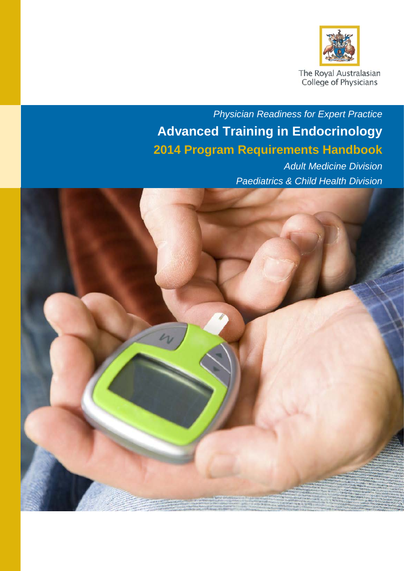

The Royal Australasian<br>College of Physicians

# *Physician Readiness for Expert Practice* **Advanced Training in Endocrinology 2014 Program Requirements Handbook**

*Adult Medicine Division Paediatrics & Child Health Division*

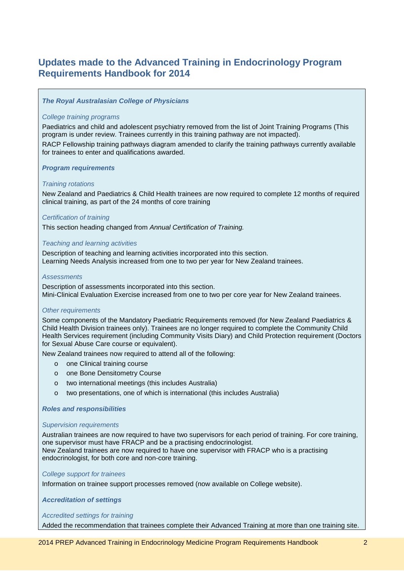## <span id="page-1-0"></span>**Updates made to the Advanced Training in Endocrinology Program Requirements Handbook for 2014**

### *The Royal Australasian College of Physicians*

#### *College training programs*

Paediatrics and child and adolescent psychiatry removed from the list of Joint Training Programs (This program is under review. Trainees currently in this training pathway are not impacted).

RACP Fellowship training pathways diagram amended to clarify the training pathways currently available for trainees to enter and qualifications awarded.

#### *Program requirements*

#### *Training rotations*

New Zealand and Paediatrics & Child Health trainees are now required to complete 12 months of required clinical training, as part of the 24 months of core training

#### *Certification of training*

This section heading changed from *Annual Certification of Training.*

#### *Teaching and learning activities*

Description of teaching and learning activities incorporated into this section. Learning Needs Analysis increased from one to two per year for New Zealand trainees.

#### *Assessments*

Description of assessments incorporated into this section. Mini-Clinical Evaluation Exercise increased from one to two per core year for New Zealand trainees.

#### *Other requirements*

Some components of the Mandatory Paediatric Requirements removed (for New Zealand Paediatrics & Child Health Division trainees only). Trainees are no longer required to complete the Community Child Health Services requirement (including Community Visits Diary) and Child Protection requirement (Doctors for Sexual Abuse Care course or equivalent).

New Zealand trainees now required to attend all of the following:

- o one Clinical training course
- o one Bone Densitometry Course
- o two international meetings (this includes Australia)
- o two presentations, one of which is international (this includes Australia)

#### *Roles and responsibilities*

#### *Supervision requirements*

Australian trainees are now required to have two supervisors for each period of training. For core training, one supervisor must have FRACP and be a practising endocrinologist. New Zealand trainees are now required to have one supervisor with FRACP who is a practising endocrinologist, for both core and non-core training.

#### *College support for trainees*

Information on trainee support processes removed (now available on College website).

*Accreditation of settings*

#### *Accredited settings for training*

Added the recommendation that trainees complete their Advanced Training at more than one training site.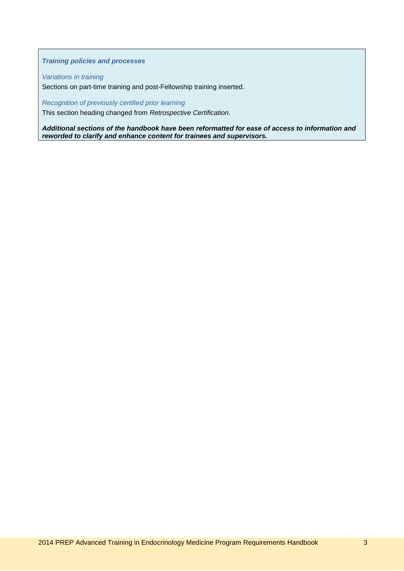### *Training policies and processes*

*Variations in training*

Sections on part-time training and post-Fellowship training inserted.

*Recognition of previously certified prior learning*

This section heading changed from *Retrospective Certification*.

*Additional sections of the handbook have been reformatted for ease of access to information and reworded to clarify and enhance content for trainees and supervisors.*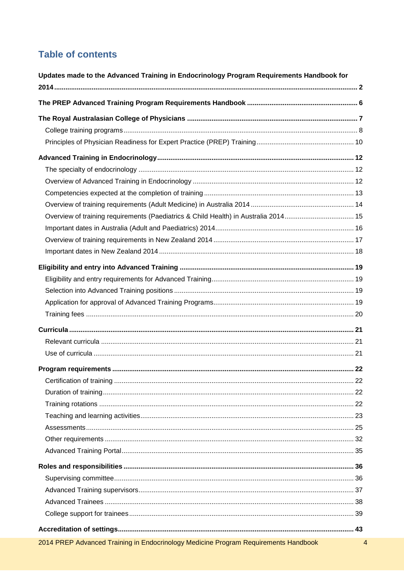## **Table of contents**

| Updates made to the Advanced Training in Endocrinology Program Requirements Handbook for |                |
|------------------------------------------------------------------------------------------|----------------|
|                                                                                          |                |
|                                                                                          |                |
|                                                                                          |                |
|                                                                                          |                |
|                                                                                          |                |
|                                                                                          |                |
|                                                                                          |                |
|                                                                                          |                |
|                                                                                          |                |
| Overview of training requirements (Paediatrics & Child Health) in Australia 2014 15      |                |
|                                                                                          |                |
|                                                                                          |                |
|                                                                                          |                |
|                                                                                          |                |
|                                                                                          |                |
|                                                                                          |                |
|                                                                                          |                |
|                                                                                          |                |
|                                                                                          |                |
|                                                                                          |                |
|                                                                                          |                |
|                                                                                          |                |
|                                                                                          |                |
|                                                                                          |                |
|                                                                                          |                |
|                                                                                          |                |
|                                                                                          |                |
|                                                                                          |                |
|                                                                                          |                |
|                                                                                          |                |
|                                                                                          |                |
|                                                                                          |                |
|                                                                                          |                |
|                                                                                          |                |
|                                                                                          |                |
|                                                                                          |                |
| 2014 PREP Advanced Training in Endocrinology Medicine Program Requirements Handbook      | $\overline{4}$ |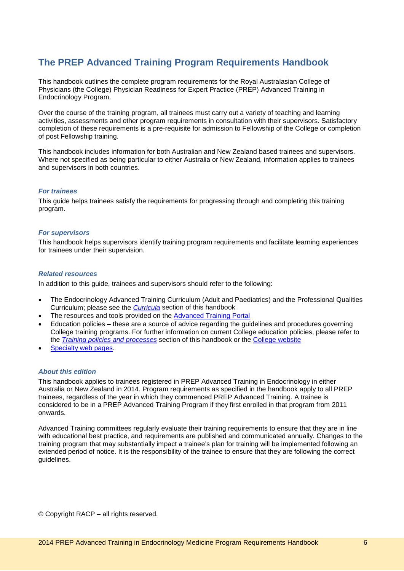## <span id="page-5-0"></span>**The PREP Advanced Training Program Requirements Handbook**

This handbook outlines the complete program requirements for the Royal Australasian College of Physicians (the College) Physician Readiness for Expert Practice (PREP) Advanced Training in Endocrinology Program.

Over the course of the training program, all trainees must carry out a variety of teaching and learning activities, assessments and other program requirements in consultation with their supervisors. Satisfactory completion of these requirements is a pre-requisite for admission to Fellowship of the College or completion of post Fellowship training.

This handbook includes information for both Australian and New Zealand based trainees and supervisors. Where not specified as being particular to either Australia or New Zealand, information applies to trainees and supervisors in both countries.

#### *For trainees*

This guide helps trainees satisfy the requirements for progressing through and completing this training program.

#### *For supervisors*

This handbook helps supervisors identify training program requirements and facilitate learning experiences for trainees under their supervision.

#### *Related resources*

In addition to this guide, trainees and supervisors should refer to the following:

- The Endocrinology Advanced Training Curriculum (Adult and Paediatrics) and the Professional Qualities Curriculum; please see the *[Curricula](#page-20-0)* section of this handbook
- The resources and tools provided on the [Advanced Training Portal](https://vle.racp.edu.au/mod/atp/view.php?id=1097)
- Education policies these are a source of advice regarding the guidelines and procedures governing College training programs. For further information on current College education policies, please refer to the *[Training policies and processes](#page-44-0)* section of this handbook or the [College website](http://www.racp.edu.au/page/education-policies)
- [Specialty web pages.](http://www.racp.edu.au/page/atspecialties)

#### *About this edition*

This handbook applies to trainees registered in PREP Advanced Training in Endocrinology in either Australia or New Zealand in 2014. Program requirements as specified in the handbook apply to all PREP trainees, regardless of the year in which they commenced PREP Advanced Training. A trainee is considered to be in a PREP Advanced Training Program if they first enrolled in that program from 2011 onwards.

Advanced Training committees regularly evaluate their training requirements to ensure that they are in line with educational best practice, and requirements are published and communicated annually. Changes to the training program that may substantially impact a trainee's plan for training will be implemented following an extended period of notice. It is the responsibility of the trainee to ensure that they are following the correct guidelines.

© Copyright RACP – all rights reserved.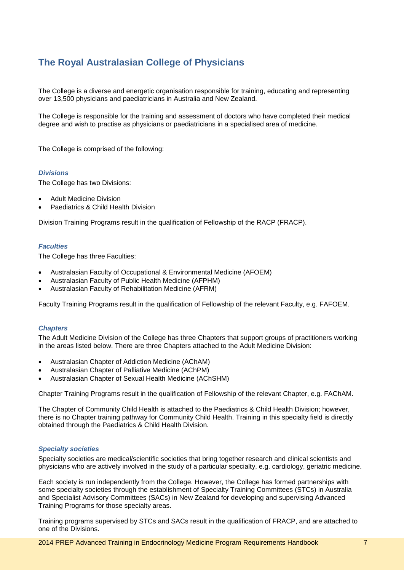## <span id="page-6-0"></span>**The Royal Australasian College of Physicians**

The College is a diverse and energetic organisation responsible for training, educating and representing over 13,500 physicians and paediatricians in Australia and New Zealand.

The College is responsible for the training and assessment of doctors who have completed their medical degree and wish to practise as physicians or paediatricians in a specialised area of medicine.

The College is comprised of the following:

#### *Divisions*

The College has two Divisions:

- Adult Medicine Division
- Paediatrics & Child Health Division

Division Training Programs result in the qualification of Fellowship of the RACP (FRACP).

#### *Faculties*

The College has three Faculties:

- Australasian Faculty of Occupational & Environmental Medicine (AFOEM)
- Australasian Faculty of Public Health Medicine (AFPHM)
- Australasian Faculty of Rehabilitation Medicine (AFRM)

Faculty Training Programs result in the qualification of Fellowship of the relevant Faculty, e.g. FAFOEM.

#### *Chapters*

The Adult Medicine Division of the College has three Chapters that support groups of practitioners working in the areas listed below. There are three Chapters attached to the Adult Medicine Division:

- Australasian Chapter of Addiction Medicine (AChAM)
- Australasian Chapter of Palliative Medicine (AChPM)
- Australasian Chapter of Sexual Health Medicine (AChSHM)

Chapter Training Programs result in the qualification of Fellowship of the relevant Chapter, e.g. FAChAM.

The Chapter of Community Child Health is attached to the Paediatrics & Child Health Division; however, there is no Chapter training pathway for Community Child Health. Training in this specialty field is directly obtained through the Paediatrics & Child Health Division.

#### *Specialty societies*

Specialty societies are medical/scientific societies that bring together research and clinical scientists and physicians who are actively involved in the study of a particular specialty, e.g. cardiology, geriatric medicine.

Each society is run independently from the College. However, the College has formed partnerships with some specialty societies through the establishment of Specialty Training Committees (STCs) in Australia and Specialist Advisory Committees (SACs) in New Zealand for developing and supervising Advanced Training Programs for those specialty areas.

Training programs supervised by STCs and SACs result in the qualification of FRACP, and are attached to one of the Divisions.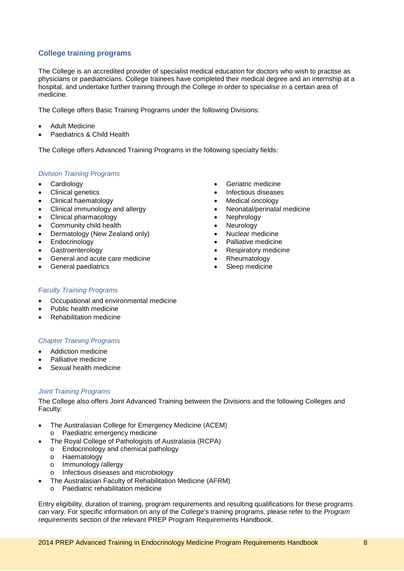## <span id="page-7-0"></span>**College training programs**

The College is an accredited provider of specialist medical education for doctors who wish to practise as physicians or paediatricians. College trainees have completed their medical degree and an internship at a hospital, and undertake further training through the College in order to specialise in a certain area of medicine.

The College offers Basic Training Programs under the following Divisions:

- Adult Medicine
- Paediatrics & Child Health

The College offers Advanced Training Programs in the following specialty fields:

## *Division Training Programs*

- **Cardiology**
- Clinical genetics
- Clinical haematology
- Clinical immunology and allergy
- Clinical pharmacology
- Community child health
- Dermatology (New Zealand only)
- Endocrinology
- **Gastroenterology**
- General and acute care medicine
- General paediatrics
- Geriatric medicine
- Infectious diseases
- Medical oncology
- Neonatal/perinatal medicine
- **Nephrology**
- **Neurology**
- Nuclear medicine
- Palliative medicine
- Respiratory medicine
- Rheumatology
- Sleep medicine

## *Faculty Training Programs*

- Occupational and environmental medicine
- Public health medicine
- Rehabilitation medicine

## *Chapter Training Programs*

- Addiction medicine
- Palliative medicine
- Sexual health medicine

## *Joint Training Programs*

The College also offers Joint Advanced Training between the Divisions and the following Colleges and Faculty:

- The Australasian College for Emergency Medicine (ACEM)
	- o Paediatric emergency medicine
- The Royal College of Pathologists of Australasia (RCPA)
	- o Endocrinology and chemical pathology
		- o Haematology
		- o Immunology /allergy
		- o Infectious diseases and microbiology
- The Australasian Faculty of Rehabilitation Medicine (AFRM)
	- o Paediatric rehabilitation medicine

Entry eligibility, duration of training, program requirements and resulting qualifications for these programs can vary. For specific information on any of the College's training programs, please refer to the *Program requirements* section of the relevant PREP Program Requirements Handbook.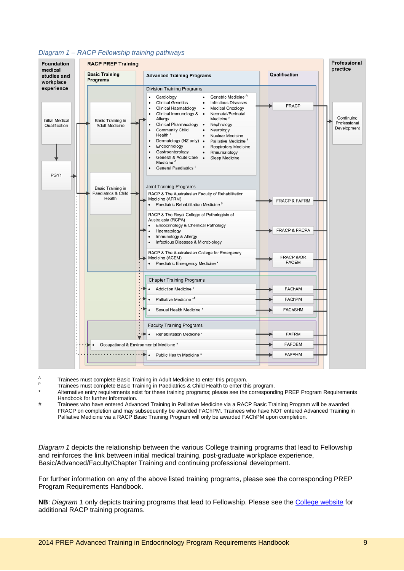

#### *Diagram 1 – RACP Fellowship training pathways*

- $A<sub>p</sub>$  Trainees must complete Basic Training in Adult Medicine to enter this program.
- Trainees must complete Basic Training in Paediatrics & Child Health to enter this program.
- Alternative entry requirements exist for these training programs; please see the corresponding PREP Program Requirements Handbook for further information.
- # Trainees who have entered Advanced Training in Palliative Medicine via a RACP Basic Training Program will be awarded FRACP on completion and may subsequently be awarded FAChPM. Trainees who have NOT entered Advanced Training in Palliative Medicine via a RACP Basic Training Program will only be awarded FAChPM upon completion.

*Diagram 1* depicts the relationship between the various College training programs that lead to Fellowship and reinforces the link between initial medical training, post-graduate workplace experience, Basic/Advanced/Faculty/Chapter Training and continuing professional development.

For further information on any of the above listed training programs, please see the corresponding PREP Program Requirements Handbook.

**NB**: *Diagram 1* only depicts training programs that lead to Fellowship. Please see the [College website](http://www.racp.edu.au/) for additional RACP training programs.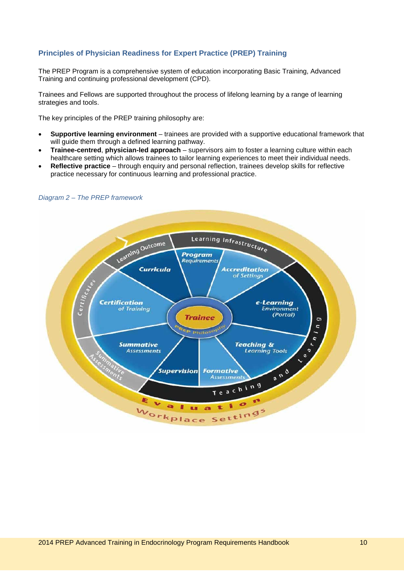## <span id="page-9-0"></span>**Principles of Physician Readiness for Expert Practice (PREP) Training**

The PREP Program is a comprehensive system of education incorporating Basic Training, Advanced Training and continuing professional development (CPD).

Trainees and Fellows are supported throughout the process of lifelong learning by a range of learning strategies and tools.

The key principles of the PREP training philosophy are:

- **Supportive learning environment** trainees are provided with a supportive educational framework that will guide them through a defined learning pathway.
- **Trainee-centred**, **physician-led approach** supervisors aim to foster a learning culture within each healthcare setting which allows trainees to tailor learning experiences to meet their individual needs.
- **Reflective practice** through enquiry and personal reflection, trainees develop skills for reflective practice necessary for continuous learning and professional practice.



#### *Diagram 2 – The PREP framework*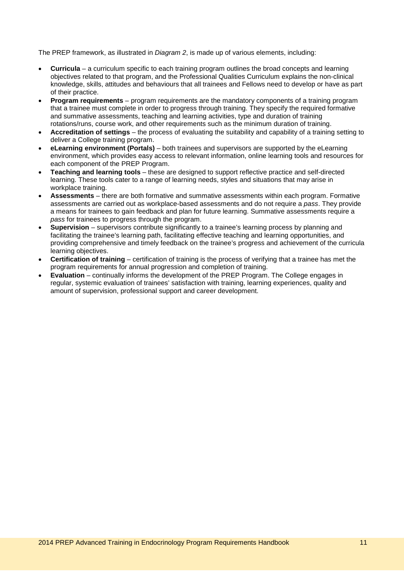The PREP framework, as illustrated in *Diagram 2*, is made up of various elements, including:

- **Curricula** a curriculum specific to each training program outlines the broad concepts and learning objectives related to that program, and the Professional Qualities Curriculum explains the non-clinical knowledge, skills, attitudes and behaviours that all trainees and Fellows need to develop or have as part of their practice.
- **Program requirements** program requirements are the mandatory components of a training program that a trainee must complete in order to progress through training. They specify the required formative and summative assessments, teaching and learning activities, type and duration of training rotations/runs, course work, and other requirements such as the minimum duration of training.
- **Accreditation of settings** the process of evaluating the suitability and capability of a training setting to deliver a College training program.
- **eLearning environment (Portals)** both trainees and supervisors are supported by the eLearning environment, which provides easy access to relevant information, online learning tools and resources for each component of the PREP Program.
- **Teaching and learning tools** these are designed to support reflective practice and self-directed learning. These tools cater to a range of learning needs, styles and situations that may arise in workplace training.
- **Assessments** there are both formative and summative assessments within each program. Formative assessments are carried out as workplace-based assessments and do not require a *pass*. They provide a means for trainees to gain feedback and plan for future learning. Summative assessments require a *pass* for trainees to progress through the program.
- **Supervision** supervisors contribute significantly to a trainee's learning process by planning and facilitating the trainee's learning path, facilitating effective teaching and learning opportunities, and providing comprehensive and timely feedback on the trainee's progress and achievement of the curricula learning objectives.
- **Certification of training** certification of training is the process of verifying that a trainee has met the program requirements for annual progression and completion of training.
- **Evaluation** continually informs the development of the PREP Program. The College engages in regular, systemic evaluation of trainees' satisfaction with training, learning experiences, quality and amount of supervision, professional support and career development.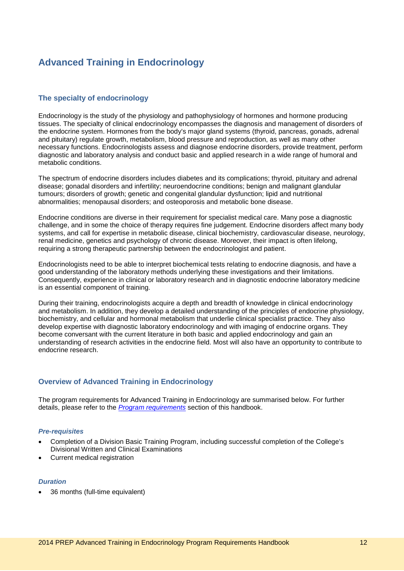## <span id="page-11-0"></span>**Advanced Training in Endocrinology**

## <span id="page-11-1"></span>**The specialty of endocrinology**

Endocrinology is the study of the physiology and pathophysiology of hormones and hormone producing tissues. The specialty of clinical endocrinology encompasses the diagnosis and management of disorders of the endocrine system. Hormones from the body's major gland systems (thyroid, pancreas, gonads, adrenal and pituitary) regulate growth, metabolism, blood pressure and reproduction, as well as many other necessary functions. Endocrinologists assess and diagnose endocrine disorders, provide treatment, perform diagnostic and laboratory analysis and conduct basic and applied research in a wide range of humoral and metabolic conditions.

The spectrum of endocrine disorders includes diabetes and its complications; thyroid, pituitary and adrenal disease; gonadal disorders and infertility; neuroendocrine conditions; benign and malignant glandular tumours; disorders of growth; genetic and congenital glandular dysfunction; lipid and nutritional abnormalities; menopausal disorders; and osteoporosis and metabolic bone disease.

Endocrine conditions are diverse in their requirement for specialist medical care. Many pose a diagnostic challenge, and in some the choice of therapy requires fine judgement. Endocrine disorders affect many body systems, and call for expertise in metabolic disease, clinical biochemistry, cardiovascular disease, neurology, renal medicine, genetics and psychology of chronic disease. Moreover, their impact is often lifelong, requiring a strong therapeutic partnership between the endocrinologist and patient.

Endocrinologists need to be able to interpret biochemical tests relating to endocrine diagnosis, and have a good understanding of the laboratory methods underlying these investigations and their limitations. Consequently, experience in clinical or laboratory research and in diagnostic endocrine laboratory medicine is an essential component of training.

During their training, endocrinologists acquire a depth and breadth of knowledge in clinical endocrinology and metabolism. In addition, they develop a detailed understanding of the principles of endocrine physiology, biochemistry, and cellular and hormonal metabolism that underlie clinical specialist practice. They also develop expertise with diagnostic laboratory endocrinology and with imaging of endocrine organs. They become conversant with the current literature in both basic and applied endocrinology and gain an understanding of research activities in the endocrine field. Most will also have an opportunity to contribute to endocrine research.

## <span id="page-11-2"></span>**Overview of Advanced Training in Endocrinology**

The program requirements for Advanced Training in Endocrinology are summarised below. For further details, please refer to the *[Program requirements](#page-21-0)* section of this handbook.

#### *Pre-requisites*

- Completion of a Division Basic Training Program, including successful completion of the College's Divisional Written and Clinical Examinations
- Current medical registration

#### *Duration*

• 36 months (full-time equivalent)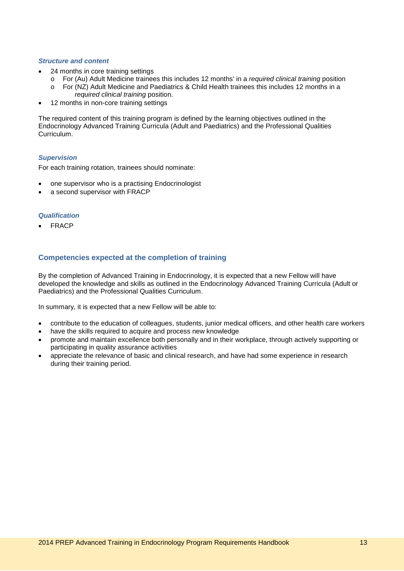#### *Structure and content*

- 24 months in core training settings
	- o For (Au) Adult Medicine trainees this includes 12 months' in a *required clinical training* position For (NZ) Adult Medicine and Paediatrics & Child Health trainees this includes 12 months in a
	- *required clinical training* position.
- 12 months in non-core training settings

The required content of this training program is defined by the learning objectives outlined in the Endocrinology Advanced Training Curricula (Adult and Paediatrics) and the Professional Qualities Curriculum.

#### *Supervision*

For each training rotation, trainees should nominate:

- one supervisor who is a practising Endocrinologist
- a second supervisor with FRACP

#### *Qualification*

**FRACP** 

## <span id="page-12-0"></span>**Competencies expected at the completion of training**

By the completion of Advanced Training in Endocrinology, it is expected that a new Fellow will have developed the knowledge and skills as outlined in the Endocrinology Advanced Training Curricula (Adult or Paediatrics) and the Professional Qualities Curriculum.

In summary, it is expected that a new Fellow will be able to:

- contribute to the education of colleagues, students, junior medical officers, and other health care workers
- have the skills required to acquire and process new knowledge
- promote and maintain excellence both personally and in their workplace, through actively supporting or participating in quality assurance activities
- appreciate the relevance of basic and clinical research, and have had some experience in research during their training period.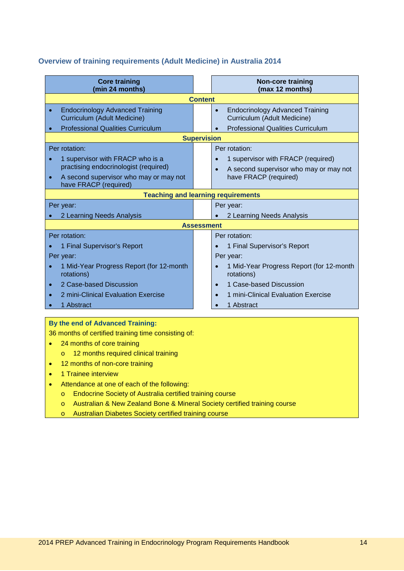## <span id="page-13-0"></span>**Overview of training requirements (Adult Medicine) in Australia 2014**

| <b>Core training</b><br>(min 24 months)                                                                                                                                    | <b>Non-core training</b><br>(max 12 months)                                                                                         |
|----------------------------------------------------------------------------------------------------------------------------------------------------------------------------|-------------------------------------------------------------------------------------------------------------------------------------|
|                                                                                                                                                                            | <b>Content</b>                                                                                                                      |
| <b>Endocrinology Advanced Training</b><br>$\bullet$<br><b>Curriculum (Adult Medicine)</b><br><b>Professional Qualities Curriculum</b><br>$\bullet$                         | <b>Endocrinology Advanced Training</b><br>$\bullet$<br>Curriculum (Adult Medicine)<br><b>Professional Qualities Curriculum</b>      |
|                                                                                                                                                                            | <b>Supervision</b>                                                                                                                  |
| Per rotation:<br>1 supervisor with FRACP who is a<br>practising endocrinologist (required)<br>A second supervisor who may or may not<br>$\bullet$<br>have FRACP (required) | Per rotation:<br>1 supervisor with FRACP (required)<br>A second supervisor who may or may not<br>$\bullet$<br>have FRACP (required) |
|                                                                                                                                                                            | <b>Teaching and learning requirements</b>                                                                                           |
| Per year:                                                                                                                                                                  | Per year:                                                                                                                           |
| 2 Learning Needs Analysis                                                                                                                                                  | 2 Learning Needs Analysis                                                                                                           |
|                                                                                                                                                                            | <b>Assessment</b>                                                                                                                   |
| Per rotation:<br>1 Final Supervisor's Report                                                                                                                               | Per rotation:<br>1 Final Supervisor's Report                                                                                        |
| Per year:                                                                                                                                                                  | Per year:                                                                                                                           |
| 1 Mid-Year Progress Report (for 12-month<br>rotations)                                                                                                                     | 1 Mid-Year Progress Report (for 12-month<br>rotations)                                                                              |
| 2 Case-based Discussion<br>$\bullet$                                                                                                                                       | 1 Case-based Discussion<br>$\bullet$                                                                                                |
| 2 mini-Clinical Evaluation Exercise<br>$\bullet$                                                                                                                           | 1 mini-Clinical Evaluation Exercise<br>$\bullet$                                                                                    |
| 1 Abstract                                                                                                                                                                 | 1 Abstract                                                                                                                          |

## **By the end of Advanced Training:**

36 months of certified training time consisting of:

- 24 months of core training
	- o 12 months required clinical training
- 12 months of non-core training
- 1 Trainee interview
- Attendance at one of each of the following:
	- o Endocrine Society of Australia certified training course
	- o Australian & New Zealand Bone & Mineral Society certified training course
	- o Australian Diabetes Society certified training course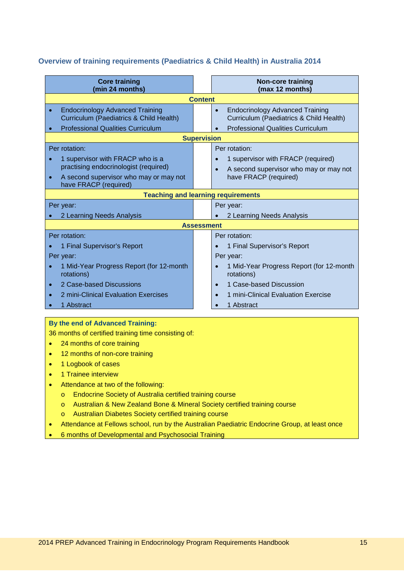## <span id="page-14-0"></span>**Overview of training requirements (Paediatrics & Child Health) in Australia 2014**

| <b>Core training</b><br>(min 24 months)                                                        | <b>Non-core training</b><br>(max 12 months)                                                    |  |
|------------------------------------------------------------------------------------------------|------------------------------------------------------------------------------------------------|--|
|                                                                                                | <b>Content</b>                                                                                 |  |
| <b>Endocrinology Advanced Training</b><br>$\bullet$<br>Curriculum (Paediatrics & Child Health) | <b>Endocrinology Advanced Training</b><br>$\bullet$<br>Curriculum (Paediatrics & Child Health) |  |
| <b>Professional Qualities Curriculum</b>                                                       | <b>Professional Qualities Curriculum</b>                                                       |  |
|                                                                                                | <b>Supervision</b>                                                                             |  |
| Per rotation:                                                                                  | Per rotation:                                                                                  |  |
| 1 supervisor with FRACP who is a                                                               | 1 supervisor with FRACP (required)                                                             |  |
| practising endocrinologist (required)                                                          | A second supervisor who may or may not                                                         |  |
| A second supervisor who may or may not<br>$\bullet$<br>have FRACP (required)                   | have FRACP (required)                                                                          |  |
|                                                                                                | <b>Teaching and learning requirements</b>                                                      |  |
| Per year:<br>Per year:                                                                         |                                                                                                |  |
| 2 Learning Needs Analysis                                                                      | 2 Learning Needs Analysis                                                                      |  |
|                                                                                                | <b>Assessment</b>                                                                              |  |
| Per rotation:                                                                                  | Per rotation:                                                                                  |  |
| 1 Final Supervisor's Report                                                                    | 1 Final Supervisor's Report<br>$\bullet$                                                       |  |
| Per year:                                                                                      | Per year:                                                                                      |  |
| 1 Mid-Year Progress Report (for 12-month<br>rotations)                                         | 1 Mid-Year Progress Report (for 12-month<br>rotations)                                         |  |
| 2 Case-based Discussions<br>$\bullet$                                                          | 1 Case-based Discussion<br>$\bullet$                                                           |  |
| 2 mini-Clinical Evaluation Exercises                                                           | 1 mini-Clinical Evaluation Exercise                                                            |  |
| 1 Abstract                                                                                     | 1 Abstract                                                                                     |  |

## **By the end of Advanced Training:**

36 months of certified training time consisting of:

- 24 months of core training
- 12 months of non-core training
- 1 Logbook of cases
- 1 Trainee interview
- Attendance at two of the following:
	- o Endocrine Society of Australia certified training course
	- o Australian & New Zealand Bone & Mineral Society certified training course
	- o Australian Diabetes Society certified training course
- Attendance at Fellows school, run by the Australian Paediatric Endocrine Group, at least once
- 6 months of Developmental and Psychosocial Training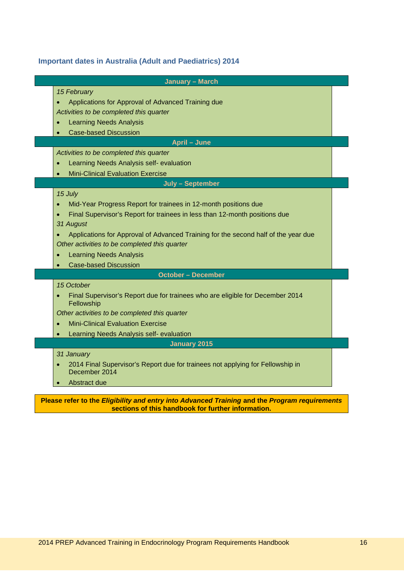## <span id="page-15-0"></span>**Important dates in Australia (Adult and Paediatrics) 2014**

| <b>January - March</b>                                                                          |  |
|-------------------------------------------------------------------------------------------------|--|
| 15 February                                                                                     |  |
| Applications for Approval of Advanced Training due<br>$\bullet$                                 |  |
| Activities to be completed this quarter                                                         |  |
| <b>Learning Needs Analysis</b><br>$\bullet$                                                     |  |
| <b>Case-based Discussion</b>                                                                    |  |
| <b>April - June</b>                                                                             |  |
| Activities to be completed this quarter                                                         |  |
| Learning Needs Analysis self- evaluation<br>$\bullet$                                           |  |
| <b>Mini-Clinical Evaluation Exercise</b>                                                        |  |
| July - September                                                                                |  |
| 15 July                                                                                         |  |
| Mid-Year Progress Report for trainees in 12-month positions due<br>$\bullet$                    |  |
| Final Supervisor's Report for trainees in less than 12-month positions due<br>$\bullet$         |  |
| 31 August                                                                                       |  |
| Applications for Approval of Advanced Training for the second half of the year due<br>$\bullet$ |  |
| Other activities to be completed this quarter                                                   |  |
| <b>Learning Needs Analysis</b>                                                                  |  |
| <b>Case-based Discussion</b>                                                                    |  |
| <b>October - December</b>                                                                       |  |
| 15 October                                                                                      |  |
| Final Supervisor's Report due for trainees who are eligible for December 2014<br>Fellowship     |  |
| Other activities to be completed this quarter                                                   |  |
| <b>Mini-Clinical Evaluation Exercise</b><br>$\bullet$                                           |  |
| Learning Needs Analysis self- evaluation                                                        |  |
| <b>January 2015</b>                                                                             |  |
| 31 January                                                                                      |  |
| 2014 Final Supervisor's Report due for trainees not applying for Fellowship in<br>December 2014 |  |
| Abstract due                                                                                    |  |
| Please refer to the Eligibility and entry into Advanced Training and the Program requirements   |  |

**sections of this handbook for further information.**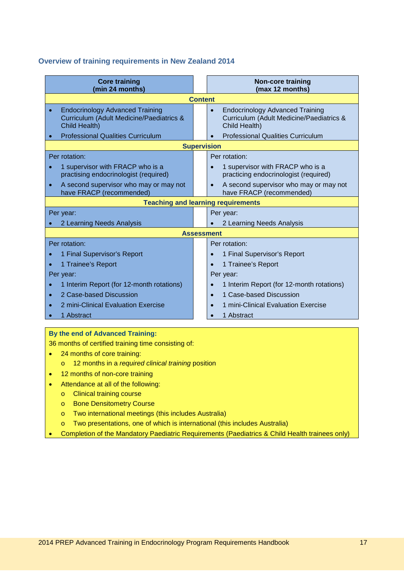## <span id="page-16-0"></span>**Overview of training requirements in New Zealand 2014**

| <b>Core training</b><br>(min 24 months)                                                                                                                    | <b>Non-core training</b><br>(max 12 months)                                                                                                                  |  |
|------------------------------------------------------------------------------------------------------------------------------------------------------------|--------------------------------------------------------------------------------------------------------------------------------------------------------------|--|
|                                                                                                                                                            | <b>Content</b>                                                                                                                                               |  |
| <b>Endocrinology Advanced Training</b><br><b>Curriculum (Adult Medicine/Paediatrics &amp;</b><br>Child Health)<br><b>Professional Qualities Curriculum</b> | <b>Endocrinology Advanced Training</b><br>$\bullet$<br>Curriculum (Adult Medicine/Paediatrics &<br>Child Health)<br><b>Professional Qualities Curriculum</b> |  |
|                                                                                                                                                            | <b>Supervision</b>                                                                                                                                           |  |
| Per rotation:                                                                                                                                              | Per rotation:                                                                                                                                                |  |
| 1 supervisor with FRACP who is a<br>practising endocrinologist (required)                                                                                  | 1 supervisor with FRACP who is a<br>$\bullet$<br>practicing endocrinologist (required)                                                                       |  |
| A second supervisor who may or may not<br>$\bullet$<br>have FRACP (recommended)                                                                            | A second supervisor who may or may not<br>$\bullet$<br>have FRACP (recommended)                                                                              |  |
|                                                                                                                                                            | <b>Teaching and learning requirements</b>                                                                                                                    |  |
| Per year:                                                                                                                                                  | Per year:                                                                                                                                                    |  |
| 2 Learning Needs Analysis                                                                                                                                  | 2 Learning Needs Analysis                                                                                                                                    |  |
|                                                                                                                                                            | <b>Assessment</b>                                                                                                                                            |  |
| Per rotation:                                                                                                                                              | Per rotation:                                                                                                                                                |  |
| 1 Final Supervisor's Report                                                                                                                                | 1 Final Supervisor's Report                                                                                                                                  |  |
| 1 Trainee's Report                                                                                                                                         | 1 Trainee's Report<br>$\bullet$                                                                                                                              |  |
| Per year:                                                                                                                                                  | Per year:                                                                                                                                                    |  |
| 1 Interim Report (for 12-month rotations)                                                                                                                  | 1 Interim Report (for 12-month rotations)                                                                                                                    |  |
| 2 Case-based Discussion<br>$\bullet$                                                                                                                       | 1 Case-based Discussion                                                                                                                                      |  |
| 2 mini-Clinical Evaluation Exercise                                                                                                                        | 1 mini-Clinical Evaluation Exercise                                                                                                                          |  |
| 1 Abstract                                                                                                                                                 | 1 Abstract                                                                                                                                                   |  |

## **By the end of Advanced Training:**

36 months of certified training time consisting of:

- 24 months of core training:
	- o 12 months in a *required clinical training* position
- 12 months of non-core training
- Attendance at all of the following:
	- o Clinical training course
	- o Bone Densitometry Course
	- o Two international meetings (this includes Australia)
	- o Two presentations, one of which is international (this includes Australia)
- Completion of the Mandatory Paediatric Requirements (Paediatrics & Child Health trainees only)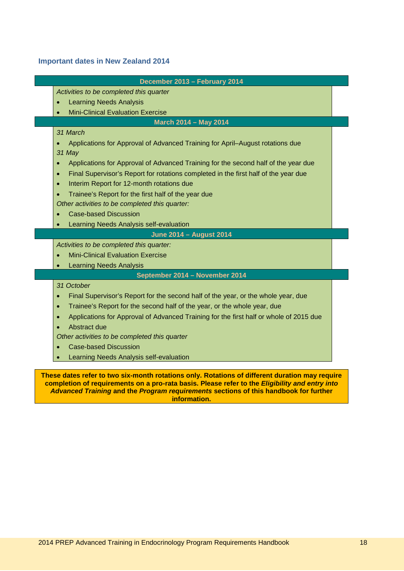## <span id="page-17-0"></span>**Important dates in New Zealand 2014**

|           | December 2013 - February 2014                                                          |
|-----------|----------------------------------------------------------------------------------------|
|           | Activities to be completed this quarter                                                |
|           | <b>Learning Needs Analysis</b>                                                         |
|           | <b>Mini-Clinical Evaluation Exercise</b><br><b>March 2014 - May 2014</b>               |
|           | 31 March                                                                               |
|           | Applications for Approval of Advanced Training for April-August rotations due          |
| 31 May    |                                                                                        |
|           | Applications for Approval of Advanced Training for the second half of the year due     |
| $\bullet$ | Final Supervisor's Report for rotations completed in the first half of the year due    |
| $\bullet$ | Interim Report for 12-month rotations due                                              |
| $\bullet$ | Trainee's Report for the first half of the year due                                    |
|           | Other activities to be completed this quarter:                                         |
|           | <b>Case-based Discussion</b>                                                           |
|           | Learning Needs Analysis self-evaluation                                                |
|           | <b>June 2014 - August 2014</b>                                                         |
|           | Activities to be completed this quarter:                                               |
|           | <b>Mini-Clinical Evaluation Exercise</b>                                               |
|           | <b>Learning Needs Analysis</b>                                                         |
|           | September 2014 - November 2014                                                         |
|           | 31 October                                                                             |
| $\bullet$ | Final Supervisor's Report for the second half of the year, or the whole year, due      |
| $\bullet$ | Trainee's Report for the second half of the year, or the whole year, due               |
| $\bullet$ | Applications for Approval of Advanced Training for the first half or whole of 2015 due |
|           | Abstract due                                                                           |
|           | Other activities to be completed this quarter                                          |
|           | <b>Case-based Discussion</b>                                                           |
|           | Learning Needs Analysis self-evaluation                                                |
|           |                                                                                        |

**information.**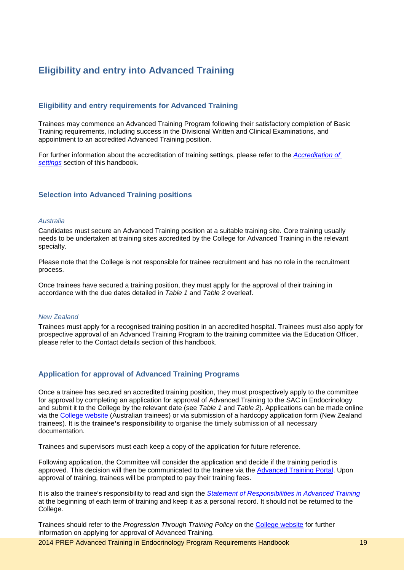## <span id="page-18-0"></span>**Eligibility and entry into Advanced Training**

## <span id="page-18-1"></span>**Eligibility and entry requirements for Advanced Training**

Trainees may commence an Advanced Training Program following their satisfactory completion of Basic Training requirements, including success in the Divisional Written and Clinical Examinations, and appointment to an accredited Advanced Training position.

For further information about the accreditation of training settings, please refer to the *[Accreditation of](#page-42-0)  [settings](#page-42-0)* section of this handbook.

#### <span id="page-18-2"></span>**Selection into Advanced Training positions**

#### *Australia*

Candidates must secure an Advanced Training position at a suitable training site. Core training usually needs to be undertaken at training sites accredited by the College for Advanced Training in the relevant specialty.

Please note that the College is not responsible for trainee recruitment and has no role in the recruitment process.

Once trainees have secured a training position, they must apply for the approval of their training in accordance with the due dates detailed in *Table 1* and *Table 2* overleaf.

#### *New Zealand*

Trainees must apply for a recognised training position in an accredited hospital. Trainees must also apply for prospective approval of an Advanced Training Program to the training committee via the Education Officer, please refer to the [Contact details](#page-49-1) section of this handbook.

## <span id="page-18-3"></span>**Application for approval of Advanced Training Programs**

Once a trainee has secured an accredited training position, they must prospectively apply to the committee for approval by completing an application for approval of Advanced Training to the SAC in Endocrinology and submit it to the College by the relevant date (see *Table 1* and *Table 2*). Applications can be made online via the [College website](http://www.racp.edu.au/index.cfm?objectid=5D58E54A-A97D-E0ED-2C67EF77FD30A3CF) (Australian trainees) or via submission of a hardcopy application form (New Zealand trainees). It is the **trainee's responsibility** to organise the timely submission of all necessary documentation.

Trainees and supervisors must each keep a copy of the application for future reference.

Following application, the Committee will consider the application and decide if the training period is approved. This decision will then be communicated to the trainee via the [Advanced Training Portal.](https://vle.racp.edu.au/mod/atp/view.php?id=1097) Upon approval of training, trainees will be prompted to pay their training fees.

It is also the trainee's responsibility to read and sign the *[Statement of Responsibilities in Advanced Training](http://www.google.com/url?sa=t&rct=j&q=&esrc=s&source=web&cd=2&ved=0CH8QFjAB&url=http%3A%2F%2Fwww.racp.edu.au%2Findex.cfm%3Fobjectid%3D5EB321CE-E35D-B873-45EB1AFFB9E6DE9E&ei=_VzNT_uiCYm5iQeC0qzMBg&usg=AFQjCNGlTLA4dzadTZoAuXDNL2-XQOG8mg&sig2=xq8mx-IWgyb9YDJLhUL12Q)* at the beginning of each term of training and keep it as a personal record. It should not be returned to the College.

Trainees should refer to the *Progression Through Training Policy* on the [College website](http://www.racp.edu.au/index.cfm?objectid=7C2BE127-ABCF-D98F-3A371FF6E209BDA4) for further information on applying for approval of Advanced Training.

2014 PREP Advanced Training in Endocrinology Program Requirements Handbook 19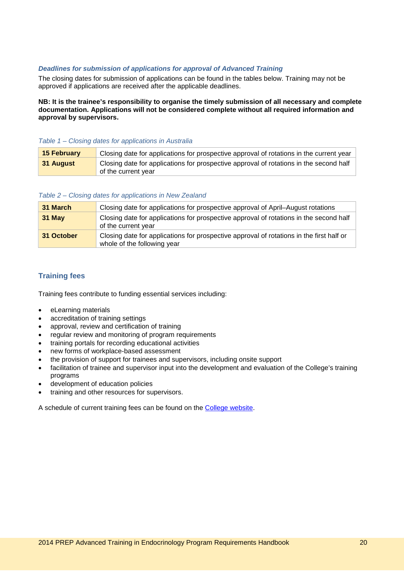### *Deadlines for submission of applications for approval of Advanced Training*

The closing dates for submission of applications can be found in the tables below. Training may not be approved if applications are received after the applicable deadlines.

**NB: It is the trainee's responsibility to organise the timely submission of all necessary and complete documentation. Applications will not be considered complete without all required information and approval by supervisors.**

#### *Table 1 – Closing dates for applications in Australia*

| 15 February | Closing date for applications for prospective approval of rotations in the current year                       |
|-------------|---------------------------------------------------------------------------------------------------------------|
| ∣ 31 August | Closing date for applications for prospective approval of rotations in the second half<br>of the current year |

#### *Table 2 – Closing dates for applications in New Zealand*

| 31 March   | Closing date for applications for prospective approval of April–August rotations                                        |
|------------|-------------------------------------------------------------------------------------------------------------------------|
| $31$ May   | Closing date for applications for prospective approval of rotations in the second half<br>of the current year           |
| 31 October | Closing date for applications for prospective approval of rotations in the first half or<br>whole of the following year |

## <span id="page-19-0"></span>**Training fees**

Training fees contribute to funding essential services including:

- eLearning materials
- accreditation of training settings
- approval, review and certification of training
- regular review and monitoring of program requirements
- training portals for recording educational activities
- new forms of workplace-based assessment
- the provision of support for trainees and supervisors, including onsite support
- facilitation of trainee and supervisor input into the development and evaluation of the College's training programs
- development of education policies
- training and other resources for supervisors.

A schedule of current training fees can be found on the [College website.](http://www.racp.edu.au/index.cfm?objectid=1490A0E7-0F50-062D-BD1E98EA1725363F)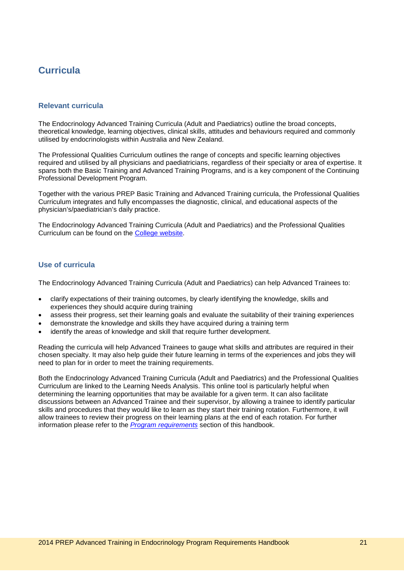## <span id="page-20-0"></span>**Curricula**

## <span id="page-20-1"></span>**Relevant curricula**

The Endocrinology Advanced Training Curricula (Adult and Paediatrics) outline the broad concepts, theoretical knowledge, learning objectives, clinical skills, attitudes and behaviours required and commonly utilised by endocrinologists within Australia and New Zealand.

The Professional Qualities Curriculum outlines the range of concepts and specific learning objectives required and utilised by all physicians and paediatricians, regardless of their specialty or area of expertise. It spans both the Basic Training and Advanced Training Programs, and is a key component of the Continuing Professional Development Program.

Together with the various PREP Basic Training and Advanced Training curricula, the Professional Qualities Curriculum integrates and fully encompasses the diagnostic, clinical, and educational aspects of the physician's/paediatrician's daily practice.

The Endocrinology Advanced Training Curricula (Adult and Paediatrics) and the Professional Qualities Curriculum can be found on the [College website.](http://www.racp.edu.au/page/advanced-curricula)

## <span id="page-20-2"></span>**Use of curricula**

The Endocrinology Advanced Training Curricula (Adult and Paediatrics) can help Advanced Trainees to:

- clarify expectations of their training outcomes, by clearly identifying the knowledge, skills and experiences they should acquire during training
- assess their progress, set their learning goals and evaluate the suitability of their training experiences
- demonstrate the knowledge and skills they have acquired during a training term
- identify the areas of knowledge and skill that require further development.

Reading the curricula will help Advanced Trainees to gauge what skills and attributes are required in their chosen specialty. It may also help guide their future learning in terms of the experiences and jobs they will need to plan for in order to meet the training requirements.

Both the Endocrinology Advanced Training Curricula (Adult and Paediatrics) and the Professional Qualities Curriculum are linked to the Learning Needs Analysis. This online tool is particularly helpful when determining the learning opportunities that may be available for a given term. It can also facilitate discussions between an Advanced Trainee and their supervisor, by allowing a trainee to identify particular skills and procedures that they would like to learn as they start their training rotation. Furthermore, it will allow trainees to review their progress on their learning plans at the end of each rotation. For further information please refer to the *[Program requirements](#page-21-0)* section of this handbook.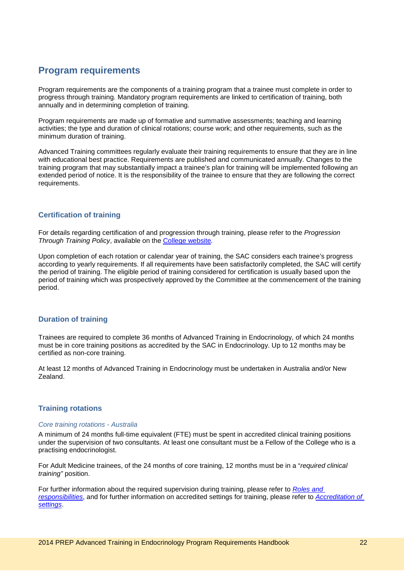## <span id="page-21-0"></span>**Program requirements**

Program requirements are the components of a training program that a trainee must complete in order to progress through training. Mandatory program requirements are linked to certification of training, both annually and in determining completion of training.

Program requirements are made up of formative and summative assessments; teaching and learning activities; the type and duration of clinical rotations; course work; and other requirements, such as the minimum duration of training.

Advanced Training committees regularly evaluate their training requirements to ensure that they are in line with educational best practice. Requirements are published and communicated annually. Changes to the training program that may substantially impact a trainee's plan for training will be implemented following an extended period of notice. It is the responsibility of the trainee to ensure that they are following the correct requirements.

## <span id="page-21-1"></span>**Certification of training**

For details regarding certification of and progression through training, please refer to the *Progression Through Training Policy*, available on the [College website](http://www.racp.edu.au/index.cfm?objectid=7C2BE127-ABCF-D98F-3A371FF6E209BDA4)*.*

Upon completion of each rotation or calendar year of training, the SAC considers each trainee's progress according to yearly requirements. If all requirements have been satisfactorily completed, the SAC will certify the period of training. The eligible period of training considered for certification is usually based upon the period of training which was prospectively approved by the Committee at the commencement of the training period.

## <span id="page-21-2"></span>**Duration of training**

Trainees are required to complete 36 months of Advanced Training in Endocrinology, of which 24 months must be in core training positions as accredited by the SAC in Endocrinology. Up to 12 months may be certified as non-core training.

At least 12 months of Advanced Training in Endocrinology must be undertaken in Australia and/or New Zealand.

## <span id="page-21-3"></span>**Training rotations**

#### *Core training rotations - Australia*

A minimum of 24 months full-time equivalent (FTE) must be spent in accredited clinical training positions under the supervision of two consultants. At least one consultant must be a Fellow of the College who is a practising endocrinologist.

For Adult Medicine trainees, of the 24 months of core training, 12 months must be in a "*required clinical training"* position.

For further information about the required supervision during training, please refer to *[Roles and](#page-35-0)  [responsibilities](#page-35-0)*, and for further information on accredited settings for training, please refer to *[Accreditation of](#page-42-0)  [settings](#page-42-0)*.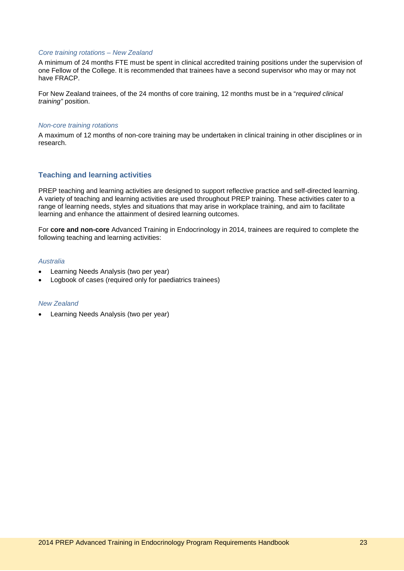#### *Core training rotations – New Zealand*

A minimum of 24 months FTE must be spent in clinical accredited training positions under the supervision of one Fellow of the College. It is recommended that trainees have a second supervisor who may or may not have FRACP.

For New Zealand trainees, of the 24 months of core training, 12 months must be in a "*required clinical training"* position.

#### *Non-core training rotations*

A maximum of 12 months of non-core training may be undertaken in clinical training in other disciplines or in research.

## <span id="page-22-0"></span>**Teaching and learning activities**

PREP teaching and learning activities are designed to support reflective practice and self-directed learning. A variety of teaching and learning activities are used throughout PREP training. These activities cater to a range of learning needs, styles and situations that may arise in workplace training, and aim to facilitate learning and enhance the attainment of desired learning outcomes.

For **core and non-core** Advanced Training in Endocrinology in 2014, trainees are required to complete the following teaching and learning activities:

#### *Australia*

- Learning Needs Analysis (two per year)
- Logbook of cases (required only for paediatrics trainees)

#### *New Zealand*

• Learning Needs Analysis (two per year)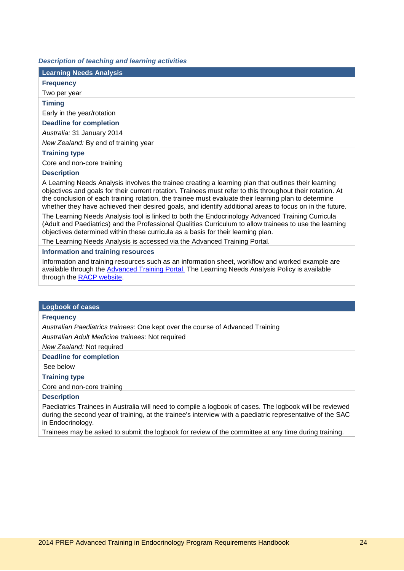#### *Description of teaching and learning activities*

| <b>Learning Needs Analysis</b>                                                                                                                                                                                                                                                                                                                                                                                                         |
|----------------------------------------------------------------------------------------------------------------------------------------------------------------------------------------------------------------------------------------------------------------------------------------------------------------------------------------------------------------------------------------------------------------------------------------|
| <b>Frequency</b>                                                                                                                                                                                                                                                                                                                                                                                                                       |
| Two per year                                                                                                                                                                                                                                                                                                                                                                                                                           |
| <b>Timing</b>                                                                                                                                                                                                                                                                                                                                                                                                                          |
| Early in the year/rotation                                                                                                                                                                                                                                                                                                                                                                                                             |
| <b>Deadline for completion</b>                                                                                                                                                                                                                                                                                                                                                                                                         |
| Australia: 31 January 2014                                                                                                                                                                                                                                                                                                                                                                                                             |
| New Zealand: By end of training year                                                                                                                                                                                                                                                                                                                                                                                                   |
| <b>Training type</b>                                                                                                                                                                                                                                                                                                                                                                                                                   |
| Core and non-core training                                                                                                                                                                                                                                                                                                                                                                                                             |
| <b>Description</b>                                                                                                                                                                                                                                                                                                                                                                                                                     |
| A Learning Needs Analysis involves the trainee creating a learning plan that outlines their learning<br>objectives and goals for their current rotation. Trainees must refer to this throughout their rotation. At<br>the conclusion of each training rotation, the trainee must evaluate their learning plan to determine<br>whether they have achieved their desired goals, and identify additional areas to focus on in the future. |
| The Learning Needs Analysis tool is linked to both the Endocrinology Advanced Training Curricula<br>(Adult and Paediatrics) and the Professional Qualities Curriculum to allow trainees to use the learning<br>objectives determined within these curricula as a basis for their learning plan.                                                                                                                                        |
| The Learning Needs Analysis is accessed via the Advanced Training Portal.                                                                                                                                                                                                                                                                                                                                                              |
| Information and training resources                                                                                                                                                                                                                                                                                                                                                                                                     |
| Information and training resources such as an information sheet, workflow and worked example are                                                                                                                                                                                                                                                                                                                                       |

Information and training resources such as an information sheet, workflow and worked example are available through the **Advanced Training Portal**. The Learning Needs Analysis Policy is available through the [RACP website.](http://www.racp.edu.au/page/education-policies)

#### **Logbook of cases**

#### **Frequency**

*Australian Paediatrics trainees:* One kept over the course of Advanced Training

*Australian Adult Medicine trainees:* Not required

*New Zealand:* Not required

## **Deadline for completion**

See below

## **Training type**

Core and non-core training

## **Description**

Paediatrics Trainees in Australia will need to compile a logbook of cases. The logbook will be reviewed during the second year of training, at the trainee's interview with a paediatric representative of the SAC in Endocrinology.

Trainees may be asked to submit the logbook for review of the committee at any time during training.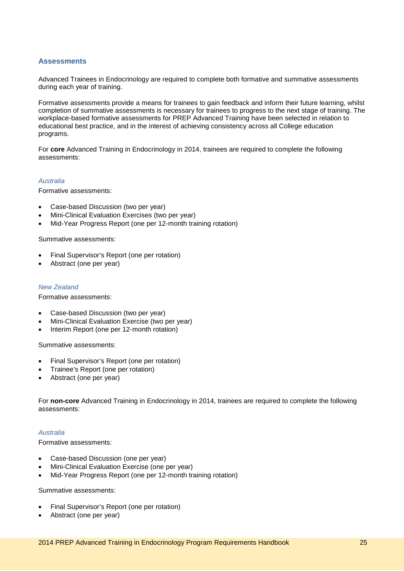## <span id="page-24-0"></span>**Assessments**

Advanced Trainees in Endocrinology are required to complete both formative and summative assessments during each year of training.

Formative assessments provide a means for trainees to gain feedback and inform their future learning, whilst completion of summative assessments is necessary for trainees to progress to the next stage of training. The workplace-based formative assessments for PREP Advanced Training have been selected in relation to educational best practice, and in the interest of achieving consistency across all College education programs.

For **core** Advanced Training in Endocrinology in 2014, trainees are required to complete the following assessments:

#### *Australia*

Formative assessments:

- Case-based Discussion (two per year)
- Mini-Clinical Evaluation Exercises (two per year)
- Mid-Year Progress Report (one per 12-month training rotation)

Summative assessments:

- Final Supervisor's Report (one per rotation)
- Abstract (one per year)

#### *New Zealand*

Formative assessments:

- Case-based Discussion (two per year)
- Mini-Clinical Evaluation Exercise (two per year)
- Interim Report (one per 12-month rotation)

Summative assessments:

- Final Supervisor's Report (one per rotation)
- Trainee's Report (one per rotation)
- Abstract (one per year)

For **non-core** Advanced Training in Endocrinology in 2014, trainees are required to complete the following assessments:

#### *Australia*

Formative assessments:

- Case-based Discussion (one per year)
- Mini-Clinical Evaluation Exercise (one per year)
- Mid-Year Progress Report (one per 12-month training rotation)

Summative assessments:

- Final Supervisor's Report (one per rotation)
- Abstract (one per year)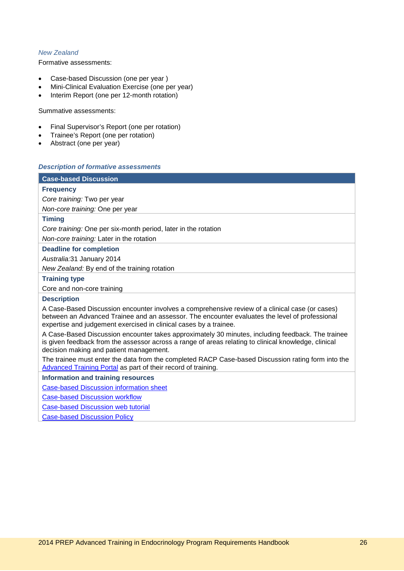## *New Zealand*

Formative assessments:

- Case-based Discussion (one per year )
- Mini-Clinical Evaluation Exercise (one per year)
- Interim Report (one per 12-month rotation)

Summative assessments:

- Final Supervisor's Report (one per rotation)
- Trainee's Report (one per rotation)
- Abstract (one per year)

### *Description of formative assessments*

## **Case-based Discussion**

## **Frequency**

*Core training:* Two per year

*Non-core training:* One per year

#### **Timing**

*Core training:* One per six-month period, later in the rotation

*Non-core training:* Later in the rotation

### **Deadline for completion**

*Australia:*31 January 2014

*New Zealand:* By end of the training rotation

#### **Training type**

Core and non-core training

#### **Description**

A Case-Based Discussion encounter involves a comprehensive review of a clinical case (or cases) between an Advanced Trainee and an assessor. The encounter evaluates the level of professional expertise and judgement exercised in clinical cases by a trainee.

A Case-Based Discussion encounter takes approximately 30 minutes, including feedback. The trainee is given feedback from the assessor across a range of areas relating to clinical knowledge, clinical decision making and patient management.

The trainee must enter the data from the completed RACP Case-based Discussion rating form into the [Advanced Training Portal](https://vle.racp.edu.au/course/view.php?id=67&page=130) as part of their record of training.

#### **Information and training resources**

[Case-based Discussion information sheet](https://vle.racp.edu.au/course/view.php?id=67&page=130)

[Case-based Discussion workflow](https://vle.racp.edu.au/course/view.php?id=67&page=130)

[Case-based Discussion web tutorial](https://vle.racp.edu.au/course/view.php?id=67&page=130)

[Case-based Discussion Policy](http://www.racp.edu.au/page/education-policies)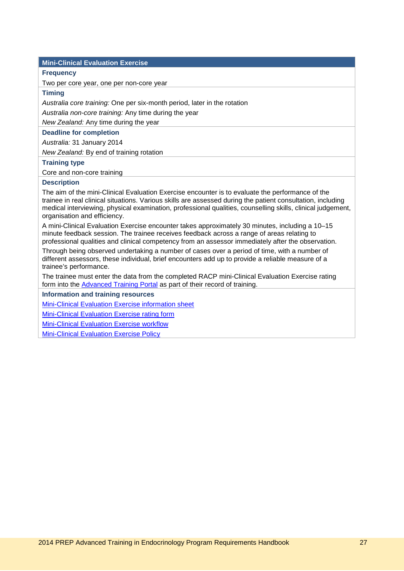## **Mini-Clinical Evaluation Exercise**

#### **Frequency**

Two per core year, one per non-core year

## **Timing**

*Australia core training:* One per six-month period, later in the rotation

*Australia non-core training:* Any time during the year

*New Zealand:* Any time during the year

#### **Deadline for completion**

*Australia:* 31 January 2014

*New Zealand:* By end of training rotation

#### **Training type**

Core and non-core training

#### **Description**

The aim of the mini-Clinical Evaluation Exercise encounter is to evaluate the performance of the trainee in real clinical situations. Various skills are assessed during the patient consultation, including medical interviewing, physical examination, professional qualities, counselling skills, clinical judgement, organisation and efficiency.

A mini-Clinical Evaluation Exercise encounter takes approximately 30 minutes, including a 10–15 minute feedback session. The trainee receives feedback across a range of areas relating to professional qualities and clinical competency from an assessor immediately after the observation.

Through being observed undertaking a number of cases over a period of time, with a number of different assessors, these individual, brief encounters add up to provide a reliable measure of a trainee's performance.

The trainee must enter the data from the completed RACP mini-Clinical Evaluation Exercise rating form into the [Advanced Training Portal](https://vle.racp.edu.au/course/view.php?id=67&page=128) as part of their record of training.

**Information and training resources**

[Mini-Clinical Evaluation Exercise information sheet](https://vle.racp.edu.au/course/view.php?id=67&page=128)

[Mini-Clinical Evaluation Exercise rating form](https://vle.racp.edu.au/course/view.php?id=67&page=128)

[Mini-Clinical Evaluation Exercise workflow](https://vle.racp.edu.au/course/view.php?id=67&page=128)

[Mini-Clinical Evaluation Exercise Policy](http://www.racp.edu.au/page/education-policies)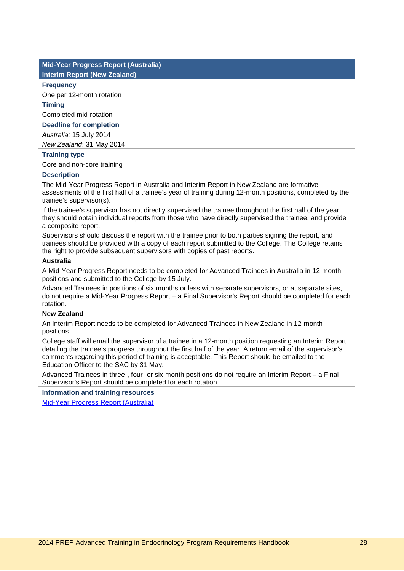## **Mid-Year Progress Report (Australia)**

#### **Interim Report (New Zealand)**

## **Frequency**

One per 12-month rotation

#### **Timing**

Completed mid-rotation

#### **Deadline for completion**

*Australia:* 15 July 2014

*New Zealand*: 31 May 2014

#### **Training type**

Core and non-core training

#### **Description**

The Mid-Year Progress Report in Australia and Interim Report in New Zealand are formative assessments of the first half of a trainee's year of training during 12-month positions, completed by the trainee's supervisor(s).

If the trainee's supervisor has not directly supervised the trainee throughout the first half of the year, they should obtain individual reports from those who have directly supervised the trainee, and provide a composite report.

Supervisors should discuss the report with the trainee prior to both parties signing the report, and trainees should be provided with a copy of each report submitted to the College. The College retains the right to provide subsequent supervisors with copies of past reports.

#### **Australia**

A Mid-Year Progress Report needs to be completed for Advanced Trainees in Australia in 12-month positions and submitted to the College by 15 July.

Advanced Trainees in positions of six months or less with separate supervisors, or at separate sites, do not require a Mid-Year Progress Report – a Final Supervisor's Report should be completed for each rotation.

## **New Zealand**

An Interim Report needs to be completed for Advanced Trainees in New Zealand in 12-month positions.

College staff will email the supervisor of a trainee in a 12-month position requesting an Interim Report detailing the trainee's progress throughout the first half of the year. A return email of the supervisor's comments regarding this period of training is acceptable. This Report should be emailed to the Education Officer to the SAC by 31 May.

Advanced Trainees in three-, four- or six-month positions do not require an Interim Report – a Final Supervisor's Report should be completed for each rotation.

**Information and training resources**

[Mid-Year Progress Report \(Australia\)](http://www.racp.edu.au/download.cfm?downloadfile=C48ED47C-9DCD-EC83-71A3C0D02CA2F83F&typename=dmFile&fieldname=filename)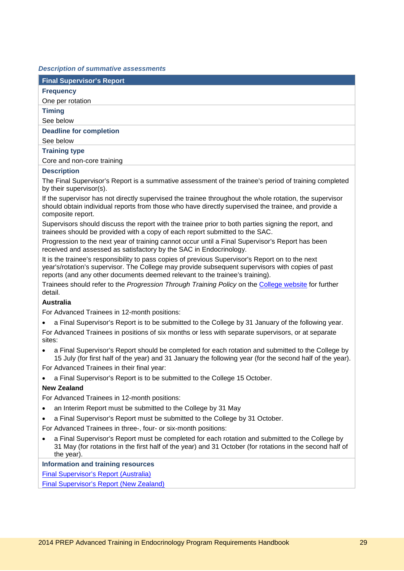#### *Description of summative assessments*

| <b>Final Supervisor's Report</b> |
|----------------------------------|
| <b>Frequency</b>                 |
| One per rotation                 |
| <b>Timing</b>                    |
| See below                        |
| <b>Deadline for completion</b>   |
| See below                        |
| <b>Training type</b>             |
| Core and non-core training       |
| <b>Description</b>               |

The Final Supervisor's Report is a summative assessment of the trainee's period of training completed by their supervisor(s).

If the supervisor has not directly supervised the trainee throughout the whole rotation, the supervisor should obtain individual reports from those who have directly supervised the trainee, and provide a composite report.

Supervisors should discuss the report with the trainee prior to both parties signing the report, and trainees should be provided with a copy of each report submitted to the SAC.

Progression to the next year of training cannot occur until a Final Supervisor's Report has been received and assessed as satisfactory by the SAC in Endocrinology.

It is the trainee's responsibility to pass copies of previous Supervisor's Report on to the next year's/rotation's supervisor. The College may provide subsequent supervisors with copies of past reports (and any other documents deemed relevant to the trainee's training).

Trainees should refer to the *Progression Through Training Policy* on the [College website](http://www.racp.edu.au/index.cfm?objectid=7C2BE127-ABCF-D98F-3A371FF6E209BDA4) for further detail.

#### **Australia**

For Advanced Trainees in 12-month positions:

• a Final Supervisor's Report is to be submitted to the College by 31 January of the following year.

For Advanced Trainees in positions of six months or less with separate supervisors, or at separate sites:

• a Final Supervisor's Report should be completed for each rotation and submitted to the College by 15 July (for first half of the year) and 31 January the following year (for the second half of the year).

For Advanced Trainees in their final year:

• a Final Supervisor's Report is to be submitted to the College 15 October.

#### **New Zealand**

For Advanced Trainees in 12-month positions:

- an Interim Report must be submitted to the College by 31 May
- a Final Supervisor's Report must be submitted to the College by 31 October.

For Advanced Trainees in three-, four- or six-month positions:

• a Final Supervisor's Report must be completed for each rotation and submitted to the College by 31 May (for rotations in the first half of the year) and 31 October (for rotations in the second half of the year).

**Information and training resources**

[Final Supervisor's Report \(Australia\)](http://www.racp.edu.au/download.cfm?downloadfile=C49017A9-AB76-6040-E9CE02F3BB820F96&typename=dmFile&fieldname=filename)

[Final Supervisor's Report \(New Zealand\)](http://www.racp.edu.au/index.cfm?objectid=77F25419-E605-B69B-DCCF292DD02D81B1)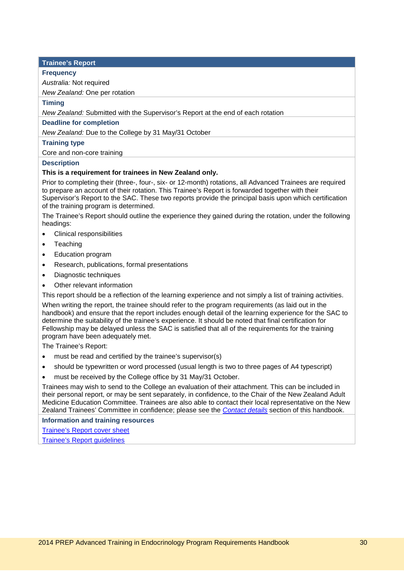#### **Trainee's Report**

#### **Frequency**

*Australia:* Not required

*New Zealand:* One per rotation

## **Timing**

*New Zealand:* Submitted with the Supervisor's Report at the end of each rotation

#### **Deadline for completion**

*New Zealand:* Due to the College by 31 May/31 October

#### **Training type**

Core and non-core training

#### **Description**

#### **This is a requirement for trainees in New Zealand only.**

Prior to completing their (three-, four-, six- or 12-month) rotations, all Advanced Trainees are required to prepare an account of their rotation. This Trainee's Report is forwarded together with their Supervisor's Report to the SAC. These two reports provide the principal basis upon which certification of the training program is determined.

The Trainee's Report should outline the experience they gained during the rotation, under the following headings:

- Clinical responsibilities
- Teaching
- Education program
- Research, publications, formal presentations
- Diagnostic techniques
- Other relevant information

This report should be a reflection of the learning experience and not simply a list of training activities.

When writing the report, the trainee should refer to the program requirements (as laid out in the handbook) and ensure that the report includes enough detail of the learning experience for the SAC to determine the suitability of the trainee's experience. It should be noted that final certification for Fellowship may be delayed unless the SAC is satisfied that all of the requirements for the training program have been adequately met.

The Trainee's Report:

- must be read and certified by the trainee's supervisor(s)
- should be typewritten or word processed (usual length is two to three pages of A4 typescript)
- must be received by the College office by 31 May/31 October.

Trainees may wish to send to the College an evaluation of their attachment. This can be included in their personal report, or may be sent separately, in confidence, to the Chair of the New Zealand Adult Medicine Education Committee. Trainees are also able to contact their local representative on the New Zealand Trainees' Committee in confidence; please see the *[Contact details](#page-49-0)* section of this handbook.

**Information and training resources**

[Trainee's Report cover sheet](http://www.racp.edu.au/index.cfm?objectid=77E2C4AC-A865-2CE7-86AE8DDB6CC925AB)

[Trainee's Report guidelines](http://www.racp.edu.au/index.cfm?objectid=77EB0A74-9985-1041-0F9AFD39D300A3F3)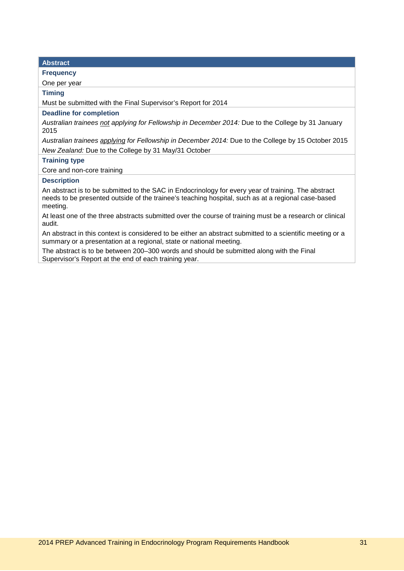## **Abstract Frequency** One per year **Timing** Must be submitted with the Final Supervisor's Report for 2014 **Deadline for completion** *Australian trainees not applying for Fellowship in December 2014:* Due to the College by 31 January 2015 *Australian trainees applying for Fellowship in December 2014:* Due to the College by 15 October 2015 *New Zealand:* Due to the College by 31 May/31 October **Training type** Core and non-core training **Description** An abstract is to be submitted to the SAC in Endocrinology for every year of training. The abstract needs to be presented outside of the trainee's teaching hospital, such as at a regional case-based meeting. At least one of the three abstracts submitted over the course of training must be a research or clinical audit.

An abstract in this context is considered to be either an abstract submitted to a scientific meeting or a summary or a presentation at a regional, state or national meeting.

The abstract is to be between 200–300 words and should be submitted along with the Final Supervisor's Report at the end of each training year.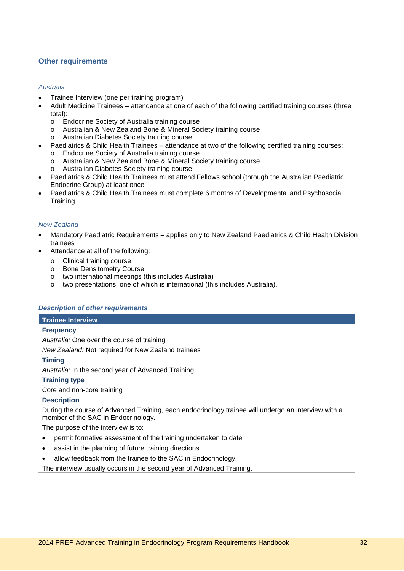## <span id="page-31-0"></span>**Other requirements**

#### *Australia*

- Trainee Interview (one per training program)
- Adult Medicine Trainees attendance at one of each of the following certified training courses (three total):
	- o Endocrine Society of Australia training course<br>
	o Australian & New Zealand Bone & Mineral Sore
	- o Australian & New Zealand Bone & Mineral Society training course<br>
	o Australian Diabetes Society training course
	- Australian Diabetes Society training course
- Paediatrics & Child Health Trainees attendance at two of the following certified training courses:
	- o Endocrine Society of Australia training course
	- o Australian & New Zealand Bone & Mineral Society training course
	- o Australian Diabetes Society training course
- Paediatrics & Child Health Trainees must attend Fellows school (through the Australian Paediatric Endocrine Group) at least once
- Paediatrics & Child Health Trainees must complete 6 months of Developmental and Psychosocial Training.

#### *New Zealand*

- Mandatory Paediatric Requirements applies only to New Zealand Paediatrics & Child Health Division trainees
- Attendance at all of the following:
	- o Clinical training course<br>
	o Bone Densitometry Cou
	- o Bone Densitometry Course<br>
	o two international meetings (
	-
	- o two international meetings (this includes Australia)<br>o two presentations, one of which is international (thi two presentations, one of which is international (this includes Australia).

#### *Description of other requirements*

| <b>Trainee Interview</b>                                                                                                                   |
|--------------------------------------------------------------------------------------------------------------------------------------------|
| <b>Frequency</b>                                                                                                                           |
| Australia: One over the course of training                                                                                                 |
| New Zealand: Not required for New Zealand trainees                                                                                         |
| <b>Timing</b>                                                                                                                              |
| Australia: In the second year of Advanced Training                                                                                         |
| <b>Training type</b>                                                                                                                       |
| Core and non-core training                                                                                                                 |
| <b>Description</b>                                                                                                                         |
| During the course of Advanced Training, each endocrinology trainee will undergo an interview with a<br>member of the SAC in Endocrinology. |
| The purpose of the interview is to:                                                                                                        |
| permit formative assessment of the training undertaken to date                                                                             |
| assist in the planning of future training directions<br>٠                                                                                  |
| allow feedback from the trainee to the SAC in Endocrinology.                                                                               |
| The interview usually occurs in the second year of Advanced Training.                                                                      |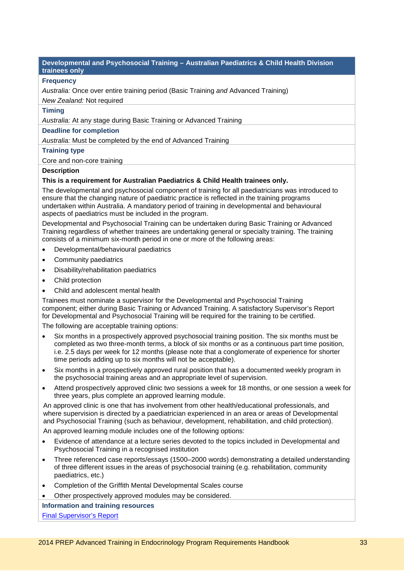#### **Developmental and Psychosocial Training – Australian Paediatrics & Child Health Division trainees only**

### **Frequency**

*Australia:* Once over entire training period (Basic Training *and* Advanced Training) *New Zealand:* Not required

## **Timing**

*Australia:* At any stage during Basic Training or Advanced Training

#### **Deadline for completion**

*Australia:* Must be completed by the end of Advanced Training

#### **Training type**

Core and non-core training

#### **Description**

## **This is a requirement for Australian Paediatrics & Child Health trainees only.**

The developmental and psychosocial component of training for all paediatricians was introduced to ensure that the changing nature of paediatric practice is reflected in the training programs undertaken within Australia. A mandatory period of training in developmental and behavioural aspects of paediatrics must be included in the program.

Developmental and Psychosocial Training can be undertaken during Basic Training or Advanced Training regardless of whether trainees are undertaking general or specialty training. The training consists of a minimum six-month period in one or more of the following areas:

- Developmental/behavioural paediatrics
- Community paediatrics
- Disability/rehabilitation paediatrics
- Child protection
- Child and adolescent mental health

Trainees must nominate a supervisor for the Developmental and Psychosocial Training component; either during Basic Training or Advanced Training. A satisfactory Supervisor's Report for Developmental and Psychosocial Training will be required for the training to be certified.

The following are acceptable training options:

- Six months in a prospectively approved psychosocial training position. The six months must be completed as two three-month terms, a block of six months or as a continuous part time position, i.e. 2.5 days per week for 12 months (please note that a conglomerate of experience for shorter time periods adding up to six months will not be acceptable).
- Six months in a prospectively approved rural position that has a documented weekly program in the psychosocial training areas and an appropriate level of supervision.
- Attend prospectively approved clinic two sessions a week for 18 months, or one session a week for three years, plus complete an approved learning module.

An approved clinic is one that has involvement from other health/educational professionals, and where supervision is directed by a paediatrician experienced in an area or areas of Developmental and Psychosocial Training (such as behaviour, development, rehabilitation, and child protection).

An approved learning module includes one of the following options:

- Evidence of attendance at a lecture series devoted to the topics included in Developmental and Psychosocial Training in a recognised institution
- Three referenced case reports/essays (1500–2000 words) demonstrating a detailed understanding of three different issues in the areas of psychosocial training (e.g. rehabilitation, community paediatrics, etc.)
- Completion of the Griffith Mental Developmental Scales course
- Other prospectively approved modules may be considered.

#### **Information and training resources**

[Final Supervisor's Report](http://www.racp.edu.au/download.cfm?downloadfile=C49017A9-AB76-6040-E9CE02F3BB820F96&typename=dmFile&fieldname=filename)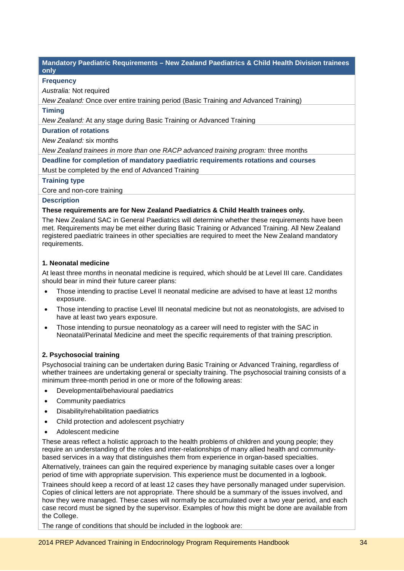**Mandatory Paediatric Requirements – New Zealand Paediatrics & Child Health Division trainees only**

## **Frequency**

*Australia:* Not required

*New Zealand:* Once over entire training period (Basic Training *and* Advanced Training)

### **Timing**

*New Zealand:* At any stage during Basic Training or Advanced Training

#### **Duration of rotations**

*New Zealand:* six months

*New Zealand trainees in more than one RACP advanced training program:* three months

**Deadline for completion of mandatory paediatric requirements rotations and courses**

Must be completed by the end of Advanced Training

#### **Training type**

Core and non-core training

#### **Description**

#### **These requirements are for New Zealand Paediatrics & Child Health trainees only.**

The New Zealand SAC in General Paediatrics will determine whether these requirements have been met. Requirements may be met either during Basic Training or Advanced Training. All New Zealand registered paediatric trainees in other specialties are required to meet the New Zealand mandatory requirements.

#### **1. Neonatal medicine**

At least three months in neonatal medicine is required, which should be at Level III care. Candidates should bear in mind their future career plans:

- Those intending to practise Level II neonatal medicine are advised to have at least 12 months exposure.
- Those intending to practise Level III neonatal medicine but not as neonatologists, are advised to have at least two years exposure.
- Those intending to pursue neonatology as a career will need to register with the SAC in Neonatal/Perinatal Medicine and meet the specific requirements of that training prescription.

## **2. Psychosocial training**

Psychosocial training can be undertaken during Basic Training or Advanced Training, regardless of whether trainees are undertaking general or specialty training. The psychosocial training consists of a minimum three-month period in one or more of the following areas:

- Developmental/behavioural paediatrics
- Community paediatrics
- Disability/rehabilitation paediatrics
- Child protection and adolescent psychiatry
- Adolescent medicine

These areas reflect a holistic approach to the health problems of children and young people; they require an understanding of the roles and inter-relationships of many allied health and communitybased services in a way that distinguishes them from experience in organ-based specialties.

Alternatively, trainees can gain the required experience by managing suitable cases over a longer period of time with appropriate supervision. This experience must be documented in a logbook.

Trainees should keep a record of at least 12 cases they have personally managed under supervision. Copies of clinical letters are not appropriate. There should be a summary of the issues involved, and how they were managed. These cases will normally be accumulated over a two year period, and each case record must be signed by the supervisor. Examples of how this might be done are available from the College.

The range of conditions that should be included in the logbook are: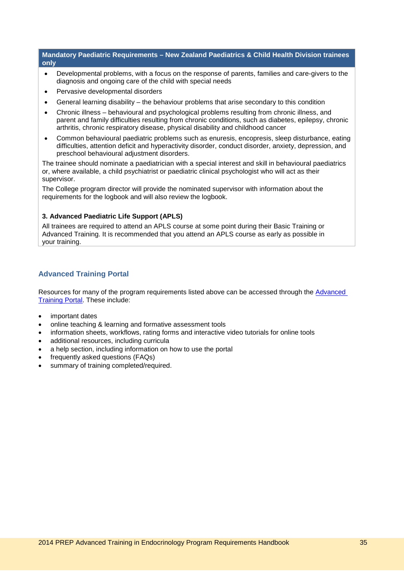**Mandatory Paediatric Requirements – New Zealand Paediatrics & Child Health Division trainees only**

- Developmental problems, with a focus on the response of parents, families and care-givers to the diagnosis and ongoing care of the child with special needs
- Pervasive developmental disorders
- General learning disability the behaviour problems that arise secondary to this condition
- Chronic illness behavioural and psychological problems resulting from chronic illness, and parent and family difficulties resulting from chronic conditions, such as diabetes, epilepsy, chronic arthritis, chronic respiratory disease, physical disability and childhood cancer
- Common behavioural paediatric problems such as enuresis, encopresis, sleep disturbance, eating difficulties, attention deficit and hyperactivity disorder, conduct disorder, anxiety, depression, and preschool behavioural adjustment disorders.

The trainee should nominate a paediatrician with a special interest and skill in behavioural paediatrics or, where available, a child psychiatrist or paediatric clinical psychologist who will act as their supervisor.

The College program director will provide the nominated supervisor with information about the requirements for the logbook and will also review the logbook.

#### **3. Advanced Paediatric Life Support (APLS)**

All trainees are required to attend an APLS course at some point during their Basic Training or Advanced Training. It is recommended that you attend an APLS course as early as possible in your training.

## <span id="page-34-0"></span>**Advanced Training Portal**

Resources for many of the program requirements listed above can be accessed through the [Advanced](https://vle.racp.edu.au/mod/atp/view.php?id=1097)  [Training Portal.](https://vle.racp.edu.au/mod/atp/view.php?id=1097) These include:

- important dates
- online teaching & learning and formative assessment tools
- information sheets, workflows, rating forms and interactive video tutorials for online tools
- additional resources, including curricula
- a help section, including information on how to use the portal
- frequently asked questions (FAQs)
- summary of training completed/required.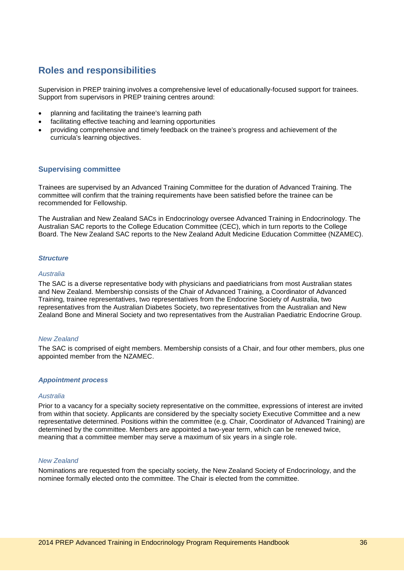## <span id="page-35-0"></span>**Roles and responsibilities**

Supervision in PREP training involves a comprehensive level of educationally-focused support for trainees. Support from supervisors in PREP training centres around:

- planning and facilitating the trainee's learning path
- facilitating effective teaching and learning opportunities
- providing comprehensive and timely feedback on the trainee's progress and achievement of the curricula's learning objectives.

## <span id="page-35-1"></span>**Supervising committee**

Trainees are supervised by an Advanced Training Committee for the duration of Advanced Training. The committee will confirm that the training requirements have been satisfied before the trainee can be recommended for Fellowship.

The Australian and New Zealand SACs in Endocrinology oversee Advanced Training in Endocrinology. The Australian SAC reports to the College Education Committee (CEC), which in turn reports to the College Board. The New Zealand SAC reports to the New Zealand Adult Medicine Education Committee (NZAMEC).

#### *Structure*

#### *Australia*

The SAC is a diverse representative body with physicians and paediatricians from most Australian states and New Zealand. Membership consists of the Chair of Advanced Training, a Coordinator of Advanced Training, trainee representatives, two representatives from the Endocrine Society of Australia, two representatives from the Australian Diabetes Society, two representatives from the Australian and New Zealand Bone and Mineral Society and two representatives from the Australian Paediatric Endocrine Group.

#### *New Zealand*

The SAC is comprised of eight members. Membership consists of a Chair, and four other members, plus one appointed member from the NZAMEC.

#### *Appointment process*

#### *Australia*

Prior to a vacancy for a specialty society representative on the committee, expressions of interest are invited from within that society. Applicants are considered by the specialty society Executive Committee and a new representative determined. Positions within the committee (e.g. Chair, Coordinator of Advanced Training) are determined by the committee. Members are appointed a two-year term, which can be renewed twice, meaning that a committee member may serve a maximum of six years in a single role.

#### *New Zealand*

Nominations are requested from the specialty society, the New Zealand Society of Endocrinology, and the nominee formally elected onto the committee. The Chair is elected from the committee.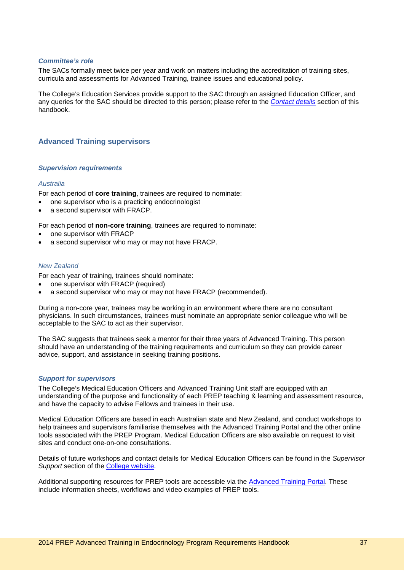#### *Committee's role*

The SACs formally meet twice per year and work on matters including the accreditation of training sites, curricula and assessments for Advanced Training, trainee issues and educational policy.

The College's Education Services provide support to the SAC through an assigned Education Officer, and any queries for the SAC should be directed to this person; please refer to the *[Contact details](#page-49-0)* section of this handbook.

## <span id="page-36-0"></span>**Advanced Training supervisors**

#### *Supervision requirements*

#### *Australia*

For each period of **core training**, trainees are required to nominate:

- one supervisor who is a practicing endocrinologist
- a second supervisor with FRACP.

For each period of **non-core training**, trainees are required to nominate:

- one supervisor with FRACP
- a second supervisor who may or may not have FRACP.

## *New Zealand*

For each year of training, trainees should nominate:

- one supervisor with FRACP (required)
- a second supervisor who may or may not have FRACP (recommended).

During a non-core year, trainees may be working in an environment where there are no consultant physicians. In such circumstances, trainees must nominate an appropriate senior colleague who will be acceptable to the SAC to act as their supervisor.

The SAC suggests that trainees seek a mentor for their three years of Advanced Training. This person should have an understanding of the training requirements and curriculum so they can provide career advice, support, and assistance in seeking training positions.

#### *Support for supervisors*

The College's Medical Education Officers and Advanced Training Unit staff are equipped with an understanding of the purpose and functionality of each PREP teaching & learning and assessment resource, and have the capacity to advise Fellows and trainees in their use.

Medical Education Officers are based in each Australian state and New Zealand, and conduct workshops to help trainees and supervisors familiarise themselves with the Advanced Training Portal and the other online tools associated with the PREP Program. Medical Education Officers are also available on request to visit sites and conduct one-on-one consultations.

Details of future workshops and contact details for Medical Education Officers can be found in the *Supervisor*  **Support section of the [College website.](http://www.racp.edu.au/page/educational-and-professional-development/supervisor-support)** 

Additional supporting resources for PREP tools are accessible via the [Advanced Training Portal.](https://vle.racp.edu.au/mod/atp/view.php?id=1097) These include information sheets, workflows and video examples of PREP tools.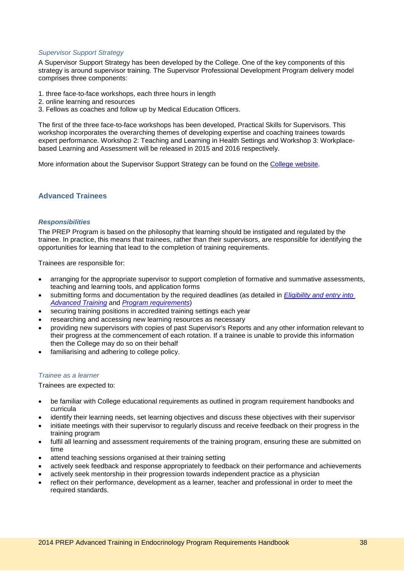#### *Supervisor Support Strategy*

A Supervisor Support Strategy has been developed by the College. One of the key components of this strategy is around supervisor training. The Supervisor Professional Development Program delivery model comprises three components:

- 1. three face-to-face workshops, each three hours in length
- 2. online learning and resources
- 3. Fellows as coaches and follow up by Medical Education Officers.

The first of the three face-to-face workshops has been developed, Practical Skills for Supervisors. This workshop incorporates the overarching themes of developing expertise and coaching trainees towards expert performance. Workshop 2: Teaching and Learning in Health Settings and Workshop 3: Workplacebased Learning and Assessment will be released in 2015 and 2016 respectively.

More information about the Supervisor Support Strategy can be found on the [College website.](http://www.racp.edu.au/page/educational-and-professional-development/supervisor-support)

## <span id="page-37-0"></span>**Advanced Trainees**

#### *Responsibilities*

The PREP Program is based on the philosophy that learning should be instigated and regulated by the trainee. In practice, this means that trainees, rather than their supervisors, are responsible for identifying the opportunities for learning that lead to the completion of training requirements.

Trainees are responsible for:

- arranging for the appropriate supervisor to support completion of formative and summative assessments, teaching and learning tools, and application forms
- submitting forms and documentation by the required deadlines (as detailed in *[Eligibility and entry into](#page-18-0)  [Advanced](#page-18-0) Training* and *[Program requirements](#page-21-0)*)
- securing training positions in accredited training settings each year
- researching and accessing new learning resources as necessary
- providing new supervisors with copies of past Supervisor's Reports and any other information relevant to their progress at the commencement of each rotation. If a trainee is unable to provide this information then the College may do so on their behalf
- familiarising and adhering to college policy.

#### *Trainee as a learner*

Trainees are expected to:

- be familiar with College educational requirements as outlined in program requirement handbooks and curricula
- identify their learning needs, set learning objectives and discuss these objectives with their supervisor
- initiate meetings with their supervisor to regularly discuss and receive feedback on their progress in the training program
- fulfil all learning and assessment requirements of the training program, ensuring these are submitted on time
- attend teaching sessions organised at their training setting
- actively seek feedback and response appropriately to feedback on their performance and achievements
- actively seek mentorship in their progression towards independent practice as a physician
- reflect on their performance, development as a learner, teacher and professional in order to meet the required standards.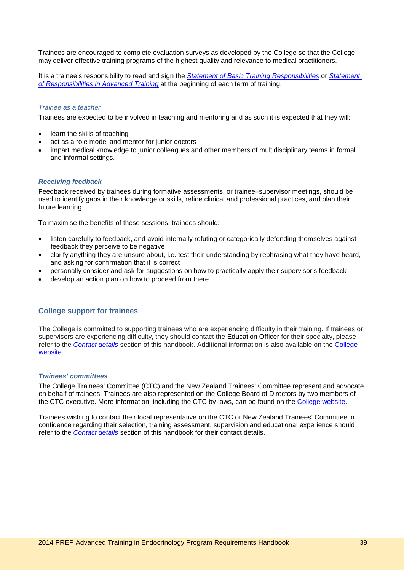Trainees are encouraged to complete evaluation surveys as developed by the College so that the College may deliver effective training programs of the highest quality and relevance to medical practitioners.

It is a trainee's responsibility to read and sign the *[Statement of Basic Training Responsibilities](http://www.google.com/url?sa=t&rct=j&q=&esrc=s&source=web&cd=1&ved=0CHAQFjAA&url=http%3A%2F%2Fwww.racp.edu.au%2Findex.cfm%3Fobjectid%3D48012BA0-FF2D-898D-1D0238513D54597F&ei=OF3NT6fLLaeriAeO_tXSBg&usg=AFQjCNGd8UkEXZBwkg-aDHKP8wa61RZyfw&sig2=xuIKsncC3jLeWZMnGbrRrQ)* or *[Statement](http://www.google.com/url?sa=t&rct=j&q=&esrc=s&source=web&cd=2&ved=0CH8QFjAB&url=http%3A%2F%2Fwww.racp.edu.au%2Findex.cfm%3Fobjectid%3D5EB321CE-E35D-B873-45EB1AFFB9E6DE9E&ei=_VzNT_uiCYm5iQeC0qzMBg&usg=AFQjCNGlTLA4dzadTZoAuXDNL2-XQOG8mg&sig2=xq8mx-IWgyb9YDJLhUL12Q)  [of Responsibilities in Advanced Training](http://www.google.com/url?sa=t&rct=j&q=&esrc=s&source=web&cd=2&ved=0CH8QFjAB&url=http%3A%2F%2Fwww.racp.edu.au%2Findex.cfm%3Fobjectid%3D5EB321CE-E35D-B873-45EB1AFFB9E6DE9E&ei=_VzNT_uiCYm5iQeC0qzMBg&usg=AFQjCNGlTLA4dzadTZoAuXDNL2-XQOG8mg&sig2=xq8mx-IWgyb9YDJLhUL12Q)* at the beginning of each term of training.

#### *Trainee as a teacher*

Trainees are expected to be involved in teaching and mentoring and as such it is expected that they will:

- learn the skills of teaching
- act as a role model and mentor for junior doctors
- impart medical knowledge to junior colleagues and other members of multidisciplinary teams in formal and informal settings.

#### *Receiving feedback*

Feedback received by trainees during formative assessments, or trainee–supervisor meetings, should be used to identify gaps in their knowledge or skills, refine clinical and professional practices, and plan their future learning.

To maximise the benefits of these sessions, trainees should:

- listen carefully to feedback, and avoid internally refuting or categorically defending themselves against feedback they perceive to be negative
- clarify anything they are unsure about, i.e. test their understanding by rephrasing what they have heard, and asking for confirmation that it is correct
- personally consider and ask for suggestions on how to practically apply their supervisor's feedback
- develop an action plan on how to proceed from there.

## <span id="page-38-0"></span>**College support for trainees**

The College is committed to supporting trainees who are experiencing difficulty in their training. If trainees or supervisors are experiencing difficulty, they should contact the Education Officer for their specialty, please refer to the *[Contact details](#page-49-0)* section of this handbook. Additional information is also available on the [College](http://www.racp.edu.au/page/educational-and-professional-development/trainee-support)  [website.](http://www.racp.edu.au/page/educational-and-professional-development/trainee-support)

#### *Trainees' committees*

The College Trainees' Committee (CTC) and the New Zealand Trainees' Committee represent and advocate on behalf of trainees. Trainees are also represented on the College Board of Directors by two members of the CTC executive. More information, including the CTC by-laws, can be found on the [College website.](http://www.racp.edu.au/page/ctc)

Trainees wishing to contact their local representative on the CTC or New Zealand Trainees' Committee in confidence regarding their selection, training assessment, supervision and educational experience should refer to the *[Contact details](#page-49-0)* section of this handbook for their contact details.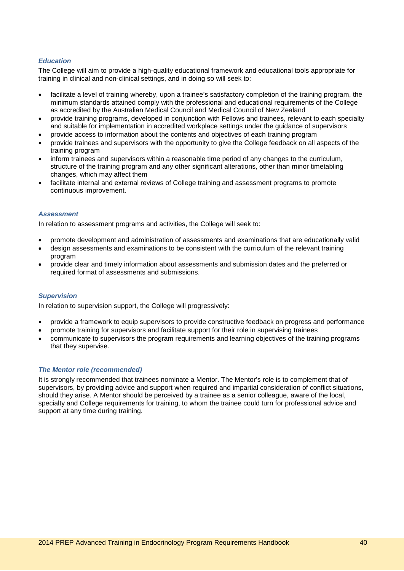## *Education*

The College will aim to provide a high-quality educational framework and educational tools appropriate for training in clinical and non-clinical settings, and in doing so will seek to:

- facilitate a level of training whereby, upon a trainee's satisfactory completion of the training program, the minimum standards attained comply with the professional and educational requirements of the College as accredited by the Australian Medical Council and Medical Council of New Zealand
- provide training programs, developed in conjunction with Fellows and trainees, relevant to each specialty and suitable for implementation in accredited workplace settings under the guidance of supervisors
- provide access to information about the contents and objectives of each training program
- provide trainees and supervisors with the opportunity to give the College feedback on all aspects of the training program
- inform trainees and supervisors within a reasonable time period of any changes to the curriculum, structure of the training program and any other significant alterations, other than minor timetabling changes, which may affect them
- facilitate internal and external reviews of College training and assessment programs to promote continuous improvement.

#### *Assessment*

In relation to assessment programs and activities, the College will seek to:

- promote development and administration of assessments and examinations that are educationally valid
- design assessments and examinations to be consistent with the curriculum of the relevant training program
- provide clear and timely information about assessments and submission dates and the preferred or required format of assessments and submissions.

#### *Supervision*

In relation to supervision support, the College will progressively:

- provide a framework to equip supervisors to provide constructive feedback on progress and performance
- promote training for supervisors and facilitate support for their role in supervising trainees
- communicate to supervisors the program requirements and learning objectives of the training programs that they supervise.

#### *The Mentor role (recommended)*

It is strongly recommended that trainees nominate a Mentor. The Mentor's role is to complement that of supervisors, by providing advice and support when required and impartial consideration of conflict situations, should they arise. A Mentor should be perceived by a trainee as a senior colleague, aware of the local, specialty and College requirements for training, to whom the trainee could turn for professional advice and support at any time during training.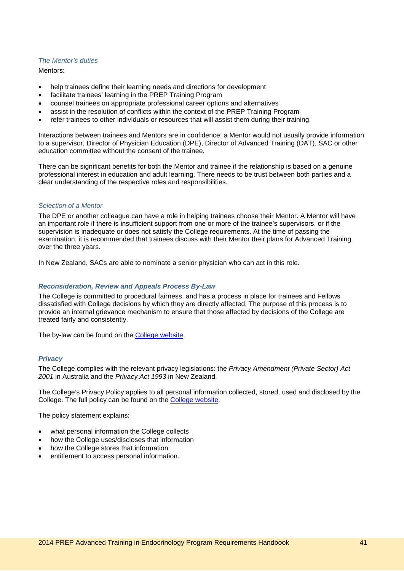#### *The Mentor's duties*

Mentors:

- help trainees define their learning needs and directions for development
- facilitate trainees' learning in the PREP Training Program
- counsel trainees on appropriate professional career options and alternatives
- assist in the resolution of conflicts within the context of the PREP Training Program
- refer trainees to other individuals or resources that will assist them during their training.

Interactions between trainees and Mentors are in confidence; a Mentor would not usually provide information to a supervisor, Director of Physician Education (DPE), Director of Advanced Training (DAT), SAC or other education committee without the consent of the trainee.

There can be significant benefits for both the Mentor and trainee if the relationship is based on a genuine professional interest in education and adult learning. There needs to be trust between both parties and a clear understanding of the respective roles and responsibilities.

#### *Selection of a Mentor*

The DPE or another colleague can have a role in helping trainees choose their Mentor. A Mentor will have an important role if there is insufficient support from one or more of the trainee's supervisors, or if the supervision is inadequate or does not satisfy the College requirements. At the time of passing the examination, it is recommended that trainees discuss with their Mentor their plans for Advanced Training over the three years.

In New Zealand, SACs are able to nominate a senior physician who can act in this role.

#### *Reconsideration, Review and Appeals Process By-Law*

The College is committed to procedural fairness, and has a process in place for trainees and Fellows dissatisfied with College decisions by which they are directly affected. The purpose of this process is to provide an internal grievance mechanism to ensure that those affected by decisions of the College are treated fairly and consistently.

The by-law can be found on the [College website.](http://www.racp.edu.au/page/education-policies)

#### *Privacy*

The College complies with the relevant privacy legislations: the *Privacy Amendment (Private Sector) Act 2001* in Australia and the *Privacy Act 1993* in New Zealand.

The College's Privacy Policy applies to all personal information collected, stored, used and disclosed by the College. The full policy can be found on the [College website.](http://www.racp.edu.au/page/privacy)

The policy statement explains:

- what personal information the College collects
- how the College uses/discloses that information
- how the College stores that information
- entitlement to access personal information.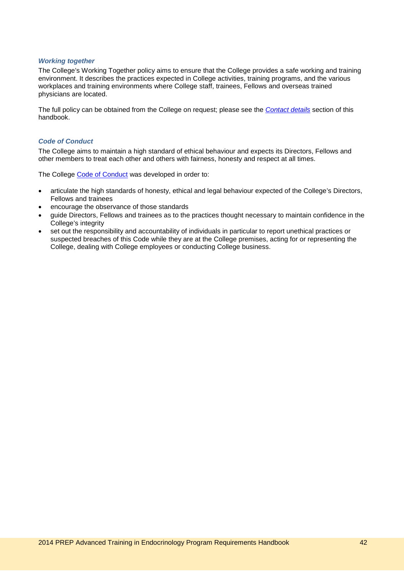#### *Working together*

The College's Working Together policy aims to ensure that the College provides a safe working and training environment. It describes the practices expected in College activities, training programs, and the various workplaces and training environments where College staff, trainees, Fellows and overseas trained physicians are located.

The full policy can be obtained from the College on request; please see the *[Contact details](#page-49-0)* section of this handbook.

#### *Code of Conduct*

The College aims to maintain a high standard of ethical behaviour and expects its Directors, Fellows and other members to treat each other and others with fairness, honesty and respect at all times.

The College [Code of Conduct](http://www.racp.edu.au/index.cfm?objectid=29167C5E-E0EA-3546-DCF6A26B73CE319F) was developed in order to:

- articulate the high standards of honesty, ethical and legal behaviour expected of the College's Directors, Fellows and trainees
- encourage the observance of those standards
- guide Directors, Fellows and trainees as to the practices thought necessary to maintain confidence in the College's integrity
- set out the responsibility and accountability of individuals in particular to report unethical practices or suspected breaches of this Code while they are at the College premises, acting for or representing the College, dealing with College employees or conducting College business.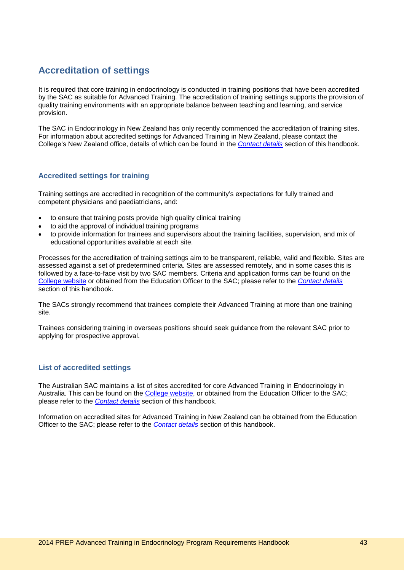## <span id="page-42-0"></span>**Accreditation of settings**

It is required that core training in endocrinology is conducted in training positions that have been accredited by the SAC as suitable for Advanced Training. The accreditation of training settings supports the provision of quality training environments with an appropriate balance between teaching and learning, and service provision.

The SAC in Endocrinology in New Zealand has only recently commenced the accreditation of training sites. For information about accredited settings for Advanced Training in New Zealand, please contact the College's New Zealand office, details of which can be found in the *[Contact details](#page-49-0)* section of this handbook.

## <span id="page-42-1"></span>**Accredited settings for training**

Training settings are accredited in recognition of the community's expectations for fully trained and competent physicians and paediatricians, and:

- to ensure that training posts provide high quality clinical training
- to aid the approval of individual training programs
- to provide information for trainees and supervisors about the training facilities, supervision, and mix of educational opportunities available at each site.

Processes for the accreditation of training settings aim to be transparent, reliable, valid and flexible. Sites are assessed against a set of predetermined criteria. Sites are assessed remotely, and in some cases this is followed by a face-to-face visit by two SAC members. Criteria and application forms can be found on the [College website](http://www.racp.edu.au/index.cfm?objectid=4C8D33CA-FFB1-398F-48D58BACB61D6FF5) or obtained from the Education Officer to the SAC; please refer to the *[Contact details](#page-49-0)* section of this handbook.

The SACs strongly recommend that trainees complete their Advanced Training at more than one training site.

Trainees considering training in overseas positions should seek guidance from the relevant SAC prior to applying for prospective approval.

## <span id="page-42-2"></span>**List of accredited settings**

The Australian SAC maintains a list of sites accredited for core Advanced Training in Endocrinology in Australia. This can be found on the [College website,](http://www.racp.edu.au/index.cfm?objectid=4C8D33CA-FFB1-398F-48D58BACB61D6FF5) or obtained from the Education Officer to the SAC; please refer to the *[Contact details](#page-49-0)* section of this handbook.

Information on accredited sites for Advanced Training in New Zealand can be obtained from the Education Officer to the SAC; please refer to the *[Contact details](#page-49-0)* section of this handbook.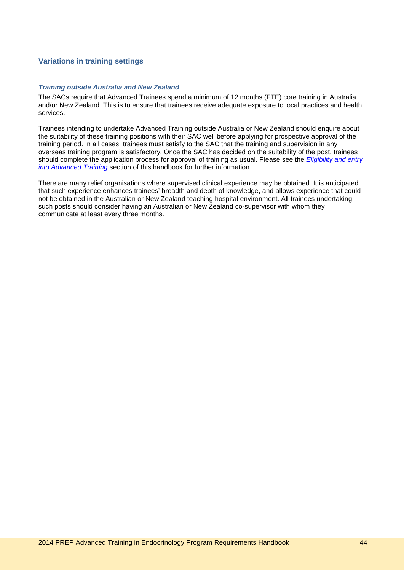## <span id="page-43-0"></span>**Variations in training settings**

#### *Training outside Australia and New Zealand*

The SACs require that Advanced Trainees spend a minimum of 12 months (FTE) core training in Australia and/or New Zealand. This is to ensure that trainees receive adequate exposure to local practices and health services.

Trainees intending to undertake Advanced Training outside Australia or New Zealand should enquire about the suitability of these training positions with their SAC well before applying for prospective approval of the training period. In all cases, trainees must satisfy to the SAC that the training and supervision in any overseas training program is satisfactory. Once the SAC has decided on the suitability of the post, trainees should complete the application process for approval of training as usual. Please see the *[Eligibility and entry](#page-18-0)  [into Advanced Training](#page-18-0)* section of this handbook for further information.

There are many relief organisations where supervised clinical experience may be obtained. It is anticipated that such experience enhances trainees' breadth and depth of knowledge, and allows experience that could not be obtained in the Australian or New Zealand teaching hospital environment. All trainees undertaking such posts should consider having an Australian or New Zealand co-supervisor with whom they communicate at least every three months.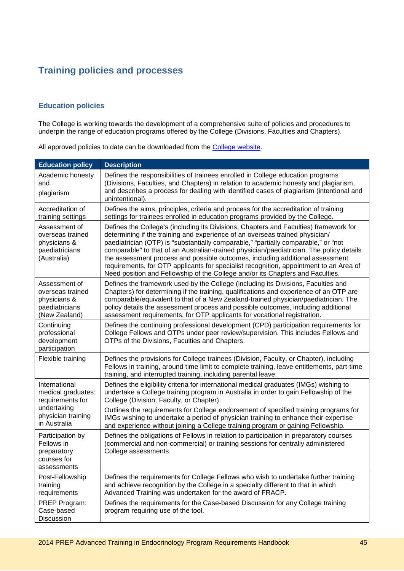## <span id="page-44-0"></span>**Training policies and processes**

## <span id="page-44-1"></span>**Education policies**

The College is working towards the development of a comprehensive suite of policies and procedures to underpin the range of education programs offered by the College (Divisions, Faculties and Chapters).

All approved policies to date can be downloaded from the [College website.](http://www.racp.edu.au/page/education-policies)

| <b>Education policy</b>                                                                                      | <b>Description</b>                                                                                                                                                                                                                                                                                                                                                                                                                                                                                                                                                                                                   |
|--------------------------------------------------------------------------------------------------------------|----------------------------------------------------------------------------------------------------------------------------------------------------------------------------------------------------------------------------------------------------------------------------------------------------------------------------------------------------------------------------------------------------------------------------------------------------------------------------------------------------------------------------------------------------------------------------------------------------------------------|
| Academic honesty<br>and<br>plagiarism                                                                        | Defines the responsibilities of trainees enrolled in College education programs<br>(Divisions, Faculties, and Chapters) in relation to academic honesty and plagiarism,<br>and describes a process for dealing with identified cases of plagiarism (intentional and<br>unintentional).                                                                                                                                                                                                                                                                                                                               |
| Accreditation of<br>training settings                                                                        | Defines the aims, principles, criteria and process for the accreditation of training<br>settings for trainees enrolled in education programs provided by the College.                                                                                                                                                                                                                                                                                                                                                                                                                                                |
| Assessment of<br>overseas trained<br>physicians &<br>paediatricians<br>(Australia)                           | Defines the College's (including its Divisions, Chapters and Faculties) framework for<br>determining if the training and experience of an overseas trained physician/<br>paediatrician (OTP) is "substantially comparable," "partially comparable," or "not<br>comparable" to that of an Australian-trained physician/paediatrician. The policy details<br>the assessment process and possible outcomes, including additional assessment<br>requirements, for OTP applicants for specialist recognition, appointment to an Area of<br>Need position and Fellowship of the College and/or its Chapters and Faculties. |
| Assessment of<br>overseas trained<br>physicians &<br>paediatricians<br>(New Zealand)                         | Defines the framework used by the College (including its Divisions, Faculties and<br>Chapters) for determining if the training, qualifications and experience of an OTP are<br>comparable/equivalent to that of a New Zealand-trained physician/paediatrician. The<br>policy details the assessment process and possible outcomes, including additional<br>assessment requirements, for OTP applicants for vocational registration.                                                                                                                                                                                  |
| Continuing<br>professional<br>development<br>participation                                                   | Defines the continuing professional development (CPD) participation requirements for<br>College Fellows and OTPs under peer review/supervision. This includes Fellows and<br>OTPs of the Divisions, Faculties and Chapters.                                                                                                                                                                                                                                                                                                                                                                                          |
| Flexible training                                                                                            | Defines the provisions for College trainees (Division, Faculty, or Chapter), including<br>Fellows in training, around time limit to complete training, leave entitlements, part-time<br>training, and interrupted training, including parental leave.                                                                                                                                                                                                                                                                                                                                                                |
| International<br>medical graduates:<br>requirements for<br>undertaking<br>physician training<br>in Australia | Defines the eligibility criteria for international medical graduates (IMGs) wishing to<br>undertake a College training program in Australia in order to gain Fellowship of the<br>College (Division, Faculty, or Chapter).                                                                                                                                                                                                                                                                                                                                                                                           |
|                                                                                                              | Outlines the requirements for College endorsement of specified training programs for<br>IMGs wishing to undertake a period of physician training to enhance their expertise<br>and experience without joining a College training program or gaining Fellowship.                                                                                                                                                                                                                                                                                                                                                      |
| Participation by<br>Fellows in<br>preparatory<br>courses for<br>assessments                                  | Defines the obligations of Fellows in relation to participation in preparatory courses<br>(commercial and non-commercial) or training sessions for centrally administered<br>College assessments.                                                                                                                                                                                                                                                                                                                                                                                                                    |
| Post-Fellowship<br>training<br>requirements                                                                  | Defines the requirements for College Fellows who wish to undertake further training<br>and achieve recognition by the College in a specialty different to that in which<br>Advanced Training was undertaken for the award of FRACP.                                                                                                                                                                                                                                                                                                                                                                                  |
| PREP Program:<br>Case-based<br>Discussion                                                                    | Defines the requirements for the Case-based Discussion for any College training<br>program requiring use of the tool.                                                                                                                                                                                                                                                                                                                                                                                                                                                                                                |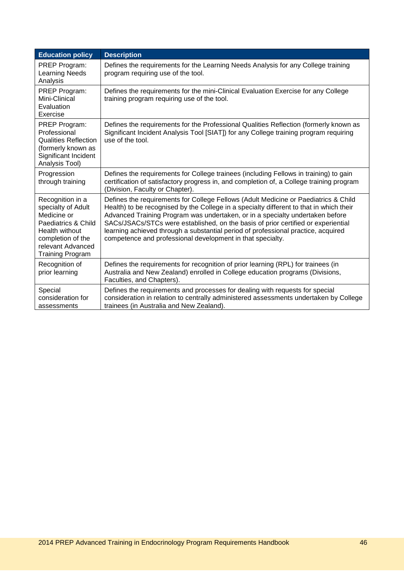| <b>Education policy</b>                                                                                                                                             | <b>Description</b>                                                                                                                                                                                                                                                                                                                                                                                                                                                                                      |
|---------------------------------------------------------------------------------------------------------------------------------------------------------------------|---------------------------------------------------------------------------------------------------------------------------------------------------------------------------------------------------------------------------------------------------------------------------------------------------------------------------------------------------------------------------------------------------------------------------------------------------------------------------------------------------------|
| PREP Program:<br><b>Learning Needs</b><br>Analysis                                                                                                                  | Defines the requirements for the Learning Needs Analysis for any College training<br>program requiring use of the tool.                                                                                                                                                                                                                                                                                                                                                                                 |
| PREP Program:<br>Mini-Clinical<br>Evaluation<br>Exercise                                                                                                            | Defines the requirements for the mini-Clinical Evaluation Exercise for any College<br>training program requiring use of the tool.                                                                                                                                                                                                                                                                                                                                                                       |
| PREP Program:<br>Professional<br><b>Qualities Reflection</b><br>(formerly known as<br>Significant Incident<br>Analysis Tool)                                        | Defines the requirements for the Professional Qualities Reflection (formerly known as<br>Significant Incident Analysis Tool [SIAT]) for any College training program requiring<br>use of the tool.                                                                                                                                                                                                                                                                                                      |
| Progression<br>through training                                                                                                                                     | Defines the requirements for College trainees (including Fellows in training) to gain<br>certification of satisfactory progress in, and completion of, a College training program<br>(Division, Faculty or Chapter).                                                                                                                                                                                                                                                                                    |
| Recognition in a<br>specialty of Adult<br>Medicine or<br>Paediatrics & Child<br>Health without<br>completion of the<br>relevant Advanced<br><b>Training Program</b> | Defines the requirements for College Fellows (Adult Medicine or Paediatrics & Child<br>Health) to be recognised by the College in a specialty different to that in which their<br>Advanced Training Program was undertaken, or in a specialty undertaken before<br>SACs/JSACs/STCs were established, on the basis of prior certified or experiential<br>learning achieved through a substantial period of professional practice, acquired<br>competence and professional development in that specialty. |
| Recognition of<br>prior learning                                                                                                                                    | Defines the requirements for recognition of prior learning (RPL) for trainees (in<br>Australia and New Zealand) enrolled in College education programs (Divisions,<br>Faculties, and Chapters).                                                                                                                                                                                                                                                                                                         |
| Special<br>consideration for<br>assessments                                                                                                                         | Defines the requirements and processes for dealing with requests for special<br>consideration in relation to centrally administered assessments undertaken by College<br>trainees (in Australia and New Zealand).                                                                                                                                                                                                                                                                                       |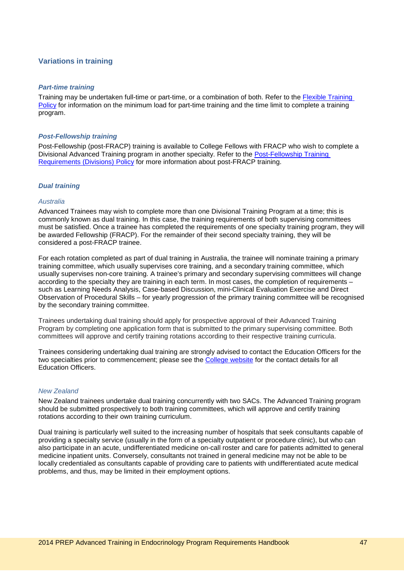## <span id="page-46-0"></span>**Variations in training**

#### *Part-time training*

Training may be undertaken full-time or part-time, or a combination of both. Refer to the [Flexible Training](http://www.racp.edu.au/page/education-policies)  [Policy](http://www.racp.edu.au/page/education-policies) for information on the minimum load for part-time training and the time limit to complete a training program.

#### *Post-Fellowship training*

Post-Fellowship (post-FRACP) training is available to College Fellows with FRACP who wish to complete a Divisional Advanced Training program in another specialty. Refer to the [Post-Fellowship Training](http://www.racp.edu.au/page/education-policies)  [Requirements \(Divisions\) Policy](http://www.racp.edu.au/page/education-policies) for more information about post-FRACP training.

#### *Dual training*

#### *Australia*

Advanced Trainees may wish to complete more than one Divisional Training Program at a time; this is commonly known as dual training. In this case, the training requirements of both supervising committees must be satisfied. Once a trainee has completed the requirements of one specialty training program, they will be awarded Fellowship (FRACP). For the remainder of their second specialty training, they will be considered a post-FRACP trainee.

For each rotation completed as part of dual training in Australia, the trainee will nominate training a primary training committee, which usually supervises core training, and a secondary training committee, which usually supervises non-core training. A trainee's primary and secondary supervising committees will change according to the specialty they are training in each term. In most cases, the completion of requirements – such as Learning Needs Analysis, Case-based Discussion, mini-Clinical Evaluation Exercise and Direct Observation of Procedural Skills – for yearly progression of the primary training committee will be recognised by the secondary training committee.

Trainees undertaking dual training should apply for prospective approval of their Advanced Training Program by completing one application form that is submitted to the primary supervising committee. Both committees will approve and certify training rotations according to their respective training curricula.

Trainees considering undertaking dual training are strongly advised to contact the Education Officers for the two specialties prior to commencement; please see the [College website](http://www.racp.edu.au/index.cfm?objectid=D438BE8D-A842-0986-585CDAA8F16B84DD) for the contact details for all Education Officers.

## *New Zealand*

New Zealand trainees undertake dual training concurrently with two SACs. The Advanced Training program should be submitted prospectively to both training committees, which will approve and certify training rotations according to their own training curriculum.

Dual training is particularly well suited to the increasing number of hospitals that seek consultants capable of providing a specialty service (usually in the form of a specialty outpatient or procedure clinic), but who can also participate in an acute, undifferentiated medicine on-call roster and care for patients admitted to general medicine inpatient units. Conversely, consultants not trained in general medicine may not be able to be locally credentialed as consultants capable of providing care to patients with undifferentiated acute medical problems, and thus, may be limited in their employment options.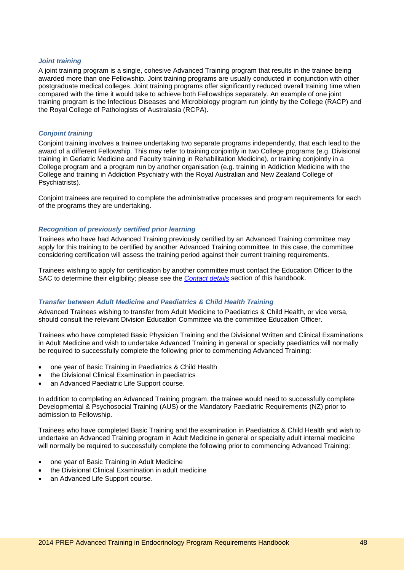#### *Joint training*

A joint training program is a single, cohesive Advanced Training program that results in the trainee being awarded more than one Fellowship. Joint training programs are usually conducted in conjunction with other postgraduate medical colleges. Joint training programs offer significantly reduced overall training time when compared with the time it would take to achieve both Fellowships separately. An example of one joint training program is the Infectious Diseases and Microbiology program run jointly by the College (RACP) and the Royal College of Pathologists of Australasia (RCPA).

#### *Conjoint training*

Conjoint training involves a trainee undertaking two separate programs independently, that each lead to the award of a different Fellowship. This may refer to training conjointly in two College programs (e.g. Divisional training in Geriatric Medicine and Faculty training in Rehabilitation Medicine), or training conjointly in a College program and a program run by another organisation (e.g. training in Addiction Medicine with the College and training in Addiction Psychiatry with the Royal Australian and New Zealand College of Psychiatrists).

Conjoint trainees are required to complete the administrative processes and program requirements for each of the programs they are undertaking.

#### *Recognition of previously certified prior learning*

Trainees who have had Advanced Training previously certified by an Advanced Training committee may apply for this training to be certified by another Advanced Training committee. In this case, the committee considering certification will assess the training period against their current training requirements.

Trainees wishing to apply for certification by another committee must contact the Education Officer to the SAC to determine their eligibility; please see the *[Contact details](#page-49-0)* section of this handbook.

## *Transfer between Adult Medicine and Paediatrics & Child Health Training*

Advanced Trainees wishing to transfer from Adult Medicine to Paediatrics & Child Health, or vice versa, should consult the relevant Division Education Committee via the committee Education Officer.

Trainees who have completed Basic Physician Training and the Divisional Written and Clinical Examinations in Adult Medicine and wish to undertake Advanced Training in general or specialty paediatrics will normally be required to successfully complete the following prior to commencing Advanced Training:

- one year of Basic Training in Paediatrics & Child Health
- the Divisional Clinical Examination in paediatrics
- an Advanced Paediatric Life Support course.

In addition to completing an Advanced Training program, the trainee would need to successfully complete Developmental & Psychosocial Training (AUS) or the Mandatory Paediatric Requirements (NZ) prior to admission to Fellowship.

Trainees who have completed Basic Training and the examination in Paediatrics & Child Health and wish to undertake an Advanced Training program in Adult Medicine in general or specialty adult internal medicine will normally be required to successfully complete the following prior to commencing Advanced Training:

- one year of Basic Training in Adult Medicine
- the Divisional Clinical Examination in adult medicine
- an Advanced Life Support course.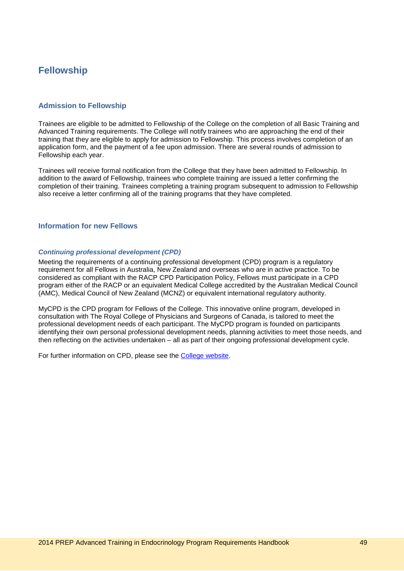## <span id="page-48-0"></span>**Fellowship**

## <span id="page-48-1"></span>**Admission to Fellowship**

Trainees are eligible to be admitted to Fellowship of the College on the completion of all Basic Training and Advanced Training requirements. The College will notify trainees who are approaching the end of their training that they are eligible to apply for admission to Fellowship. This process involves completion of an application form, and the payment of a fee upon admission. There are several rounds of admission to Fellowship each year.

Trainees will receive formal notification from the College that they have been admitted to Fellowship. In addition to the award of Fellowship, trainees who complete training are issued a letter confirming the completion of their training. Trainees completing a training program subsequent to admission to Fellowship also receive a letter confirming all of the training programs that they have completed.

#### <span id="page-48-2"></span>**Information for new Fellows**

#### *Continuing professional development (CPD)*

Meeting the requirements of a continuing professional development (CPD) program is a regulatory requirement for all Fellows in Australia, New Zealand and overseas who are in active practice. To be considered as compliant with the RACP CPD Participation Policy, Fellows must participate in a CPD program either of the RACP or an equivalent Medical College accredited by the Australian Medical Council (AMC), Medical Council of New Zealand (MCNZ) or equivalent international regulatory authority.

MyCPD is the CPD program for Fellows of the College. This innovative online program, developed in consultation with The Royal College of Physicians and Surgeons of Canada, is tailored to meet the professional development needs of each participant. The MyCPD program is founded on participants identifying their own personal professional development needs, planning activities to meet those needs, and then reflecting on the activities undertaken – all as part of their ongoing professional development cycle.

For further information on CPD, please see the [College website.](http://www.racp.edu.au/page/educational-and-professional-development/continuing-professional-development)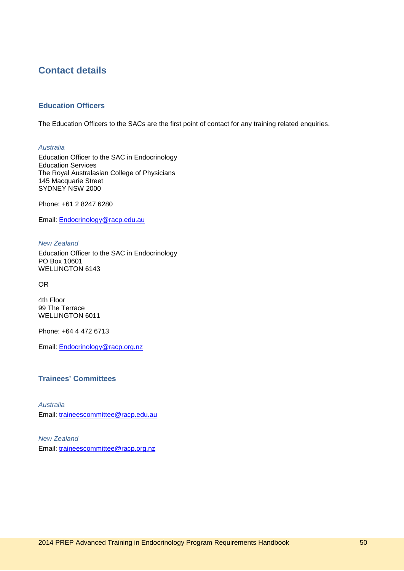## <span id="page-49-0"></span>**Contact details**

## <span id="page-49-1"></span>**Education Officers**

The Education Officers to the SACs are the first point of contact for any training related enquiries.

*Australia*

Education Officer to the SAC in Endocrinology Education Services The Royal Australasian College of Physicians 145 Macquarie Street SYDNEY NSW 2000

Phone: +61 2 8247 6280

Email: [Endocrinology@racp.edu.au](mailto:Endocrinology@racp.edu.au)

*New Zealand*

Education Officer to the SAC in Endocrinology PO Box 10601 WELLINGTON 6143

OR

4th Floor 99 The Terrace WELLINGTON 6011

Phone: +64 4 472 6713

Email: [Endocrinology@racp.org.nz](mailto:Endocrinology@racp.org.nz)

## <span id="page-49-2"></span>**Trainees' Committees**

*Australia* Email: [traineescommittee@racp.edu.au](mailto:traineescommittee@racp.edu.au)

*New Zealand* Email: [traineescommittee@racp.org.nz](mailto:traineescommittee@racp.org.nz)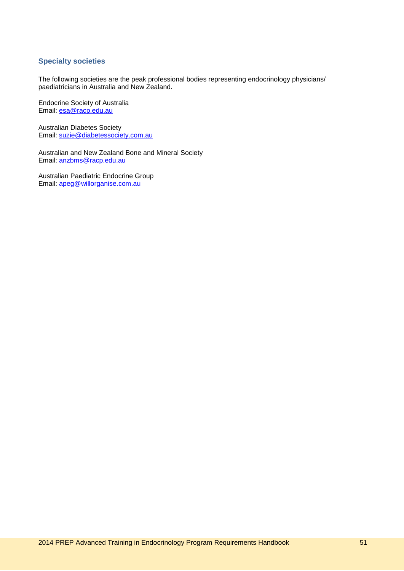## <span id="page-50-0"></span>**Specialty societies**

The following societies are the peak professional bodies representing endocrinology physicians/ paediatricians in Australia and New Zealand.

Endocrine Society of Australia Email: [esa@racp.edu.au](mailto:esa@racp.edu.au)

Australian Diabetes Society Email: [suzie@diabetessociety.com.au](mailto:suzie@diabetessociety.com.au)

Australian and New Zealand Bone and Mineral Society Email: [anzbms@racp.edu.au](mailto:anzbms@racp.edu.au)

Australian Paediatric Endocrine Group Email: [apeg@willorganise.com.au](mailto:apeg@willorganise.com.au)